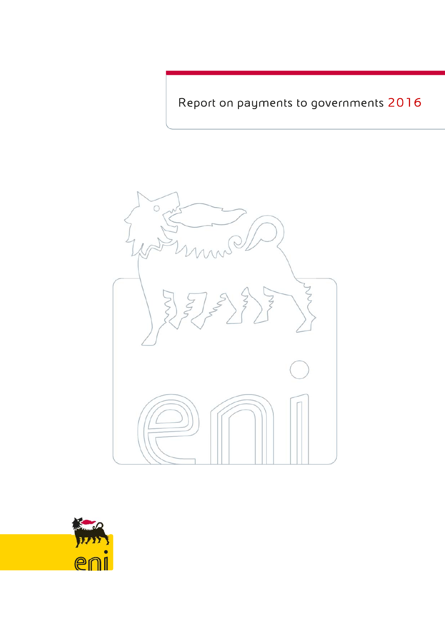Report on payments to governments 2016



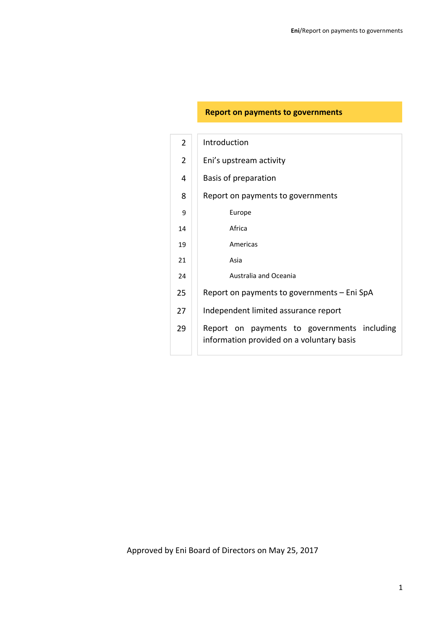# **Report on payments to governments**

| $\overline{2}$ | Introduction                                                                             |
|----------------|------------------------------------------------------------------------------------------|
| $\overline{2}$ | Eni's upstream activity                                                                  |
| 4              | Basis of preparation                                                                     |
| 8              | Report on payments to governments                                                        |
| 9              | Europe                                                                                   |
| 14             | Africa                                                                                   |
| 19             | Americas                                                                                 |
| 21             | Asia                                                                                     |
| 24             | Australia and Oceania                                                                    |
| 25             | Report on payments to governments – Eni SpA                                              |
| 27             | Independent limited assurance report                                                     |
| 29             | Report on payments to governments including<br>information provided on a voluntary basis |

Approved by Eni Board of Directors on May 25, 2017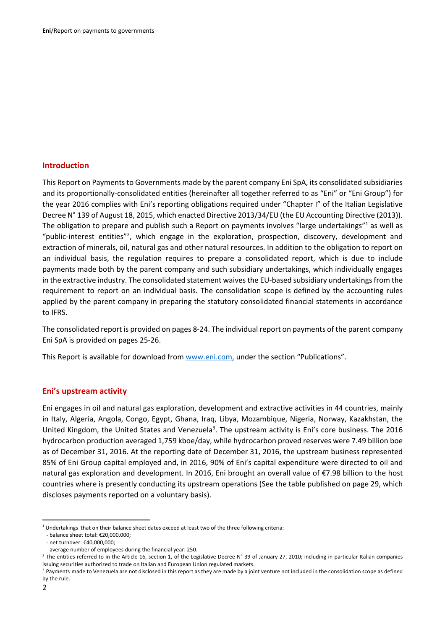### **Introduction**

This Report on Payments to Governments made by the parent company Eni SpA, its consolidated subsidiaries and its proportionally‐consolidated entities (hereinafter all together referred to as "Eni" or "Eni Group") for the year 2016 complies with Eni's reporting obligations required under "Chapter I" of the Italian Legislative Decree N° 139 of August 18, 2015, which enacted Directive 2013/34/EU (the EU Accounting Directive (2013)). The obligation to prepare and publish such a Report on payments involves "large undertakings"<sup>1</sup> as well as "public-interest entities"<sup>2</sup>, which engage in the exploration, prospection, discovery, development and extraction of minerals, oil, natural gas and other natural resources. In addition to the obligation to report on an individual basis, the regulation requires to prepare a consolidated report, which is due to include payments made both by the parent company and such subsidiary undertakings, which individually engages in the extractive industry. The consolidated statement waives the EU-based subsidiary undertakings from the requirement to report on an individual basis. The consolidation scope is defined by the accounting rules applied by the parent company in preparing the statutory consolidated financial statements in accordance to IFRS.

The consolidated report is provided on pages 8‐24. The individual report on payments of the parent company Eni SpA is provided on pages 25‐26.

This Report is available for download from www.eni.com, under the section "Publications".

### **Eni's upstream activity**

Eni engages in oil and natural gas exploration, development and extractive activities in 44 countries, mainly in Italy, Algeria, Angola, Congo, Egypt, Ghana, Iraq, Libya, Mozambique, Nigeria, Norway, Kazakhstan, the United Kingdom, the United States and Venezuela<sup>3</sup>. The upstream activity is Eni's core business. The 2016 hydrocarbon production averaged 1,759 kboe/day, while hydrocarbon proved reserves were 7.49 billion boe as of December 31, 2016. At the reporting date of December 31, 2016, the upstream business represented 85% of Eni Group capital employed and, in 2016, 90% of Eni's capital expenditure were directed to oil and natural gas exploration and development. In 2016, Eni brought an overall value of €7.98 billion to the host countries where is presently conducting its upstream operations (See the table published on page 29, which discloses payments reported on a voluntary basis).

<sup>1</sup> Undertakings that on their balance sheet dates exceed at least two of the three following criteria:

 <sup>‐</sup> balance sheet total: €20,000,000;

 <sup>‐</sup> net turnover: €40,000,000;

 <sup>‐</sup> average number of employees during the financial year: 250.

 $2$  The entities referred to in the Article 16, section 1, of the Legislative Decree N° 39 of January 27, 2010; including in particular Italian companies issuing securities authorized to trade on Italian and European Union regulated markets.

<sup>&</sup>lt;sup>3</sup> Payments made to Venezuela are not disclosed in this report as they are made by a joint venture not included in the consolidation scope as defined by the rule.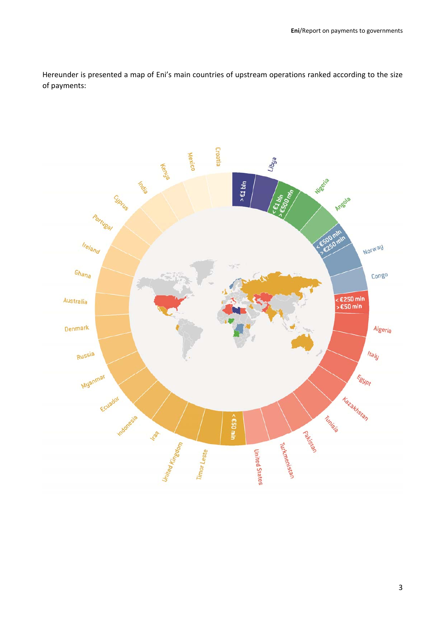Hereunder is presented a map of Eni's main countries of upstream operations ranked according to the size of payments:

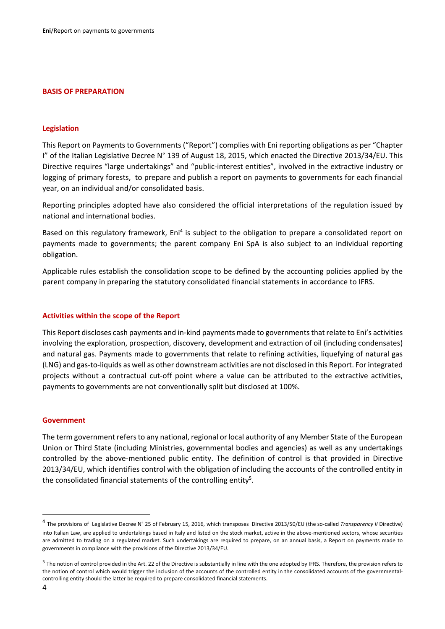### **BASIS OF PREPARATION**

### **Legislation**

This Report on Payments to Governments ("Report") complies with Eni reporting obligations as per "Chapter I" of the Italian Legislative Decree N° 139 of August 18, 2015, which enacted the Directive 2013/34/EU. This Directive requires "large undertakings" and "public‐interest entities", involved in the extractive industry or logging of primary forests, to prepare and publish a report on payments to governments for each financial year, on an individual and/or consolidated basis.

Reporting principles adopted have also considered the official interpretations of the regulation issued by national and international bodies.

Based on this regulatory framework, Eni<sup>4</sup> is subject to the obligation to prepare a consolidated report on payments made to governments; the parent company Eni SpA is also subject to an individual reporting obligation.

Applicable rules establish the consolidation scope to be defined by the accounting policies applied by the parent company in preparing the statutory consolidated financial statements in accordance to IFRS.

### **Activities within the scope of the Report**

This Report discloses cash payments and in-kind payments made to governments that relate to Eni's activities involving the exploration, prospection, discovery, development and extraction of oil (including condensates) and natural gas. Payments made to governments that relate to refining activities, liquefying of natural gas (LNG) and gas‐to‐liquids as well as other downstream activities are not disclosed in this Report. For integrated projects without a contractual cut‐off point where a value can be attributed to the extractive activities, payments to governments are not conventionally split but disclosed at 100%.

### **Government**

The term government refersto any national, regional or local authority of any Member State of the European Union or Third State (including Ministries, governmental bodies and agencies) as well as any undertakings controlled by the above‐mentioned public entity. The definition of control is that provided in Directive 2013/34/EU, which identifies control with the obligation of including the accounts of the controlled entity in the consolidated financial statements of the controlling entity<sup>5</sup>.

<sup>4</sup> The provisions of Legislative Decree N° 25 of February 15, 2016, which transposes Directive 2013/50/EU (the so‐called *Transparency II* Directive) into Italian Law, are applied to undertakings based in Italy and listed on the stock market, active in the above-mentioned sectors, whose securities are admitted to trading on a regulated market. Such undertakings are required to prepare, on an annual basis, a Report on payments made to governments in compliance with the provisions of the Directive 2013/34/EU.

<sup>&</sup>lt;sup>5</sup> The notion of control provided in the Art. 22 of the Directive is substantially in line with the one adopted by IFRS. Therefore, the provision refers to the notion of control which would trigger the inclusion of the accounts of the controlled entity in the consolidated accounts of the governmentalcontrolling entity should the latter be required to prepare consolidated financial statements.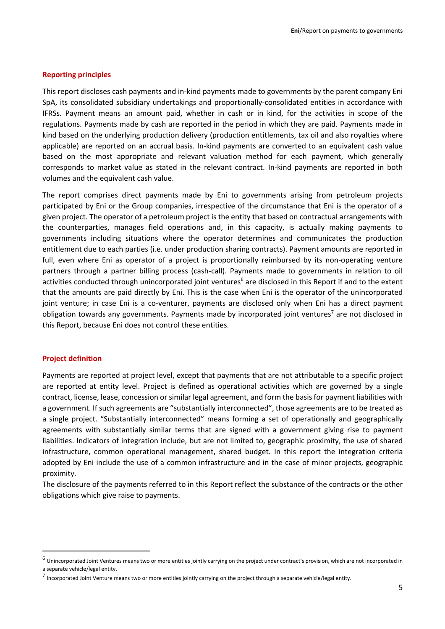### **Reporting principles**

This report discloses cash payments and in‐kind payments made to governments by the parent company Eni SpA, its consolidated subsidiary undertakings and proportionally‐consolidated entities in accordance with IFRSs. Payment means an amount paid, whether in cash or in kind, for the activities in scope of the regulations. Payments made by cash are reported in the period in which they are paid. Payments made in kind based on the underlying production delivery (production entitlements, tax oil and also royalties where applicable) are reported on an accrual basis. In-kind payments are converted to an equivalent cash value based on the most appropriate and relevant valuation method for each payment, which generally corresponds to market value as stated in the relevant contract. In‐kind payments are reported in both volumes and the equivalent cash value.

The report comprises direct payments made by Eni to governments arising from petroleum projects participated by Eni or the Group companies, irrespective of the circumstance that Eni is the operator of a given project. The operator of a petroleum project is the entity that based on contractual arrangements with the counterparties, manages field operations and, in this capacity, is actually making payments to governments including situations where the operator determines and communicates the production entitlement due to each parties (i.e. under production sharing contracts). Payment amounts are reported in full, even where Eni as operator of a project is proportionally reimbursed by its non-operating venture partners through a partner billing process (cash‐call). Payments made to governments in relation to oil activities conducted through unincorporated joint ventures<sup>6</sup> are disclosed in this Report if and to the extent that the amounts are paid directly by Eni. This is the case when Eni is the operator of the unincorporated joint venture; in case Eni is a co-venturer, payments are disclosed only when Eni has a direct payment obligation towards any governments. Payments made by incorporated joint ventures<sup>7</sup> are not disclosed in this Report, because Eni does not control these entities.

#### **Project definition**

Payments are reported at project level, except that payments that are not attributable to a specific project are reported at entity level. Project is defined as operational activities which are governed by a single contract, license, lease, concession or similar legal agreement, and form the basis for payment liabilities with a government. If such agreements are "substantially interconnected", those agreements are to be treated as a single project. "Substantially interconnected" means forming a set of operationally and geographically agreements with substantially similar terms that are signed with a government giving rise to payment liabilities. Indicators of integration include, but are not limited to, geographic proximity, the use of shared infrastructure, common operational management, shared budget. In this report the integration criteria adopted by Eni include the use of a common infrastructure and in the case of minor projects, geographic proximity.

The disclosure of the payments referred to in this Report reflect the substance of the contracts or the other obligations which give raise to payments.

 $6$  Unincorporated Joint Ventures means two or more entities jointly carrying on the project under contract's provision, which are not incorporated in a separate vehicle/legal entity.

 $^7$  Incorporated Joint Venture means two or more entities jointly carrying on the project through a separate vehicle/legal entity.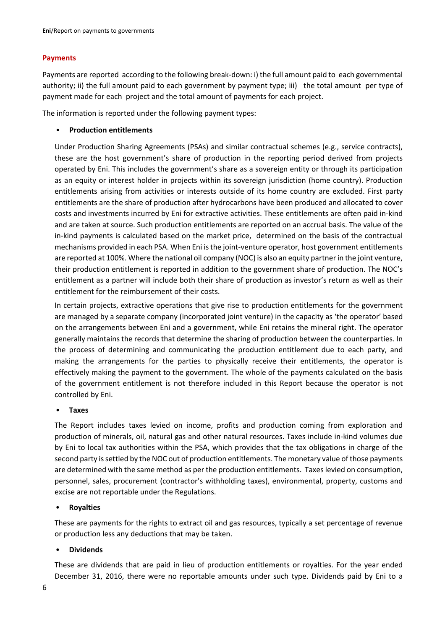### **Payments**

Payments are reported according to the following break‐down: i) the full amount paid to each governmental authority; ii) the full amount paid to each government by payment type; iii) the total amount per type of payment made for each project and the total amount of payments for each project.

The information is reported under the following payment types:

### • **Production entitlements**

Under Production Sharing Agreements (PSAs) and similar contractual schemes (e.g., service contracts), these are the host government's share of production in the reporting period derived from projects operated by Eni. This includes the government's share as a sovereign entity or through its participation as an equity or interest holder in projects within its sovereign jurisdiction (home country). Production entitlements arising from activities or interests outside of its home country are excluded. First party entitlements are the share of production after hydrocarbons have been produced and allocated to cover costs and investments incurred by Eni for extractive activities. These entitlements are often paid in‐kind and are taken at source. Such production entitlements are reported on an accrual basis. The value of the in-kind payments is calculated based on the market price, determined on the basis of the contractual mechanisms provided in each PSA. When Eni isthe joint‐venture operator, host government entitlements are reported at 100%. Where the national oil company (NOC) is also an equity partner in the joint venture, their production entitlement is reported in addition to the government share of production. The NOC's entitlement as a partner will include both their share of production as investor's return as well as their entitlement for the reimbursement of their costs.

In certain projects, extractive operations that give rise to production entitlements for the government are managed by a separate company (incorporated joint venture) in the capacity as 'the operator' based on the arrangements between Eni and a government, while Eni retains the mineral right. The operator generally maintains the records that determine the sharing of production between the counterparties. In the process of determining and communicating the production entitlement due to each party, and making the arrangements for the parties to physically receive their entitlements, the operator is effectively making the payment to the government. The whole of the payments calculated on the basis of the government entitlement is not therefore included in this Report because the operator is not controlled by Eni.

## • **Taxes**

The Report includes taxes levied on income, profits and production coming from exploration and production of minerals, oil, natural gas and other natural resources. Taxes include in‐kind volumes due by Eni to local tax authorities within the PSA, which provides that the tax obligations in charge of the second party is settled by the NOC out of production entitlements. The monetary value of those payments are determined with the same method as per the production entitlements. Taxeslevied on consumption, personnel, sales, procurement (contractor's withholding taxes), environmental, property, customs and excise are not reportable under the Regulations.

## • **Royalties**

These are payments for the rights to extract oil and gas resources, typically a set percentage of revenue or production less any deductions that may be taken.

### • **Dividends**

These are dividends that are paid in lieu of production entitlements or royalties. For the year ended December 31, 2016, there were no reportable amounts under such type. Dividends paid by Eni to a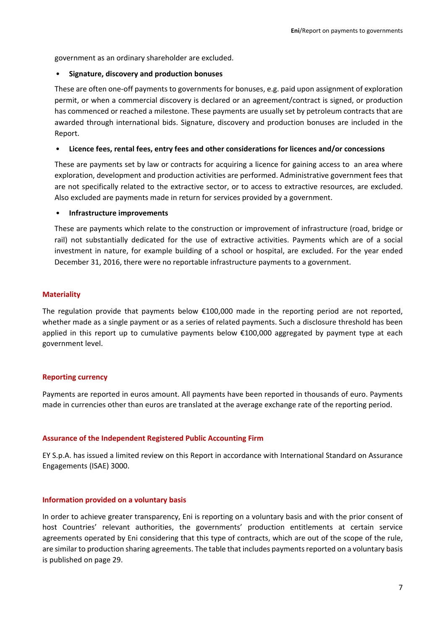government as an ordinary shareholder are excluded.

### • **Signature, discovery and production bonuses**

These are often one‐off payments to governments for bonuses, e.g. paid upon assignment of exploration permit, or when a commercial discovery is declared or an agreement/contract is signed, or production has commenced or reached a milestone. These payments are usually set by petroleum contracts that are awarded through international bids. Signature, discovery and production bonuses are included in the Report.

### • **Licence fees, rental fees, entry fees and other considerations for licences and/or concessions**

These are payments set by law or contracts for acquiring a licence for gaining access to an area where exploration, development and production activities are performed. Administrative government fees that are not specifically related to the extractive sector, or to access to extractive resources, are excluded. Also excluded are payments made in return for services provided by a government.

### • **Infrastructure improvements**

These are payments which relate to the construction or improvement of infrastructure (road, bridge or rail) not substantially dedicated for the use of extractive activities. Payments which are of a social investment in nature, for example building of a school or hospital, are excluded. For the year ended December 31, 2016, there were no reportable infrastructure payments to a government.

### **Materiality**

The regulation provide that payments below €100,000 made in the reporting period are not reported, whether made as a single payment or as a series of related payments. Such a disclosure threshold has been applied in this report up to cumulative payments below €100,000 aggregated by payment type at each government level.

### **Reporting currency**

Payments are reported in euros amount. All payments have been reported in thousands of euro. Payments made in currencies other than euros are translated at the average exchange rate of the reporting period.

### **Assurance of the Independent Registered Public Accounting Firm**

EY S.p.A. has issued a limited review on this Report in accordance with International Standard on Assurance Engagements (ISAE) 3000.

### **Information provided on a voluntary basis**

In order to achieve greater transparency, Eni is reporting on a voluntary basis and with the prior consent of host Countries' relevant authorities, the governments' production entitlements at certain service agreements operated by Eni considering that this type of contracts, which are out of the scope of the rule, are similar to production sharing agreements. The table that includes payments reported on a voluntary basis is published on page 29.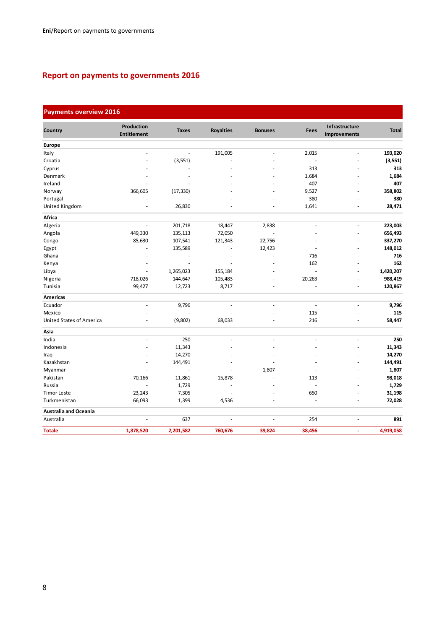# **Report on payments to governments 2016**

## **Payments overview 2016**

| Country                         | <b>Production</b><br><b>Entitlement</b> | <b>Taxes</b>             | <b>Royalties</b> | <b>Bonuses</b> | Infrastructure<br><b>Fees</b><br>Improvements |                          | <b>Total</b> |
|---------------------------------|-----------------------------------------|--------------------------|------------------|----------------|-----------------------------------------------|--------------------------|--------------|
| Europe                          |                                         |                          |                  |                |                                               |                          |              |
| Italy                           | ÷,                                      | ÷,                       | 191,005          | ä,             | 2,015                                         | $\overline{\phantom{a}}$ | 193,020      |
| Croatia                         |                                         | (3, 551)                 |                  |                |                                               |                          | (3, 551)     |
| Cyprus                          |                                         |                          |                  |                | 313                                           |                          | 313          |
| Denmark                         |                                         |                          |                  |                | 1,684                                         |                          | 1,684        |
| Ireland                         |                                         |                          |                  |                | 407                                           |                          | 407          |
| Norway                          | 366,605                                 | (17, 330)                |                  |                | 9,527                                         | ä,                       | 358,802      |
| Portugal                        |                                         |                          |                  |                | 380                                           |                          | 380          |
| United Kingdom                  | ä,                                      | 26,830                   |                  |                | 1,641                                         |                          | 28,471       |
| Africa                          |                                         |                          |                  |                |                                               |                          |              |
| Algeria                         | J.                                      | 201,718                  | 18,447           | 2,838          | $\bar{a}$                                     | ä,                       | 223,003      |
| Angola                          | 449,330                                 | 135,113                  | 72,050           |                |                                               |                          | 656,493      |
| Congo                           | 85,630                                  | 107,541                  | 121,343          | 22,756         |                                               |                          | 337,270      |
| Egypt                           |                                         | 135,589                  |                  | 12,423         |                                               |                          | 148,012      |
| Ghana                           | ÷.                                      | $\overline{\phantom{a}}$ | ÷,               | ÷,             | 716                                           |                          | 716          |
| Kenya                           | ٠                                       | $\overline{a}$           | ä,               |                | 162                                           | ÷.                       | 162          |
| Libya                           | J.                                      | 1,265,023                | 155,184          |                |                                               | ä,                       | 1,420,207    |
| Nigeria                         | 718,026                                 | 144,647                  | 105,483          |                | 20,263                                        |                          | 988,419      |
| Tunisia                         | 99,427                                  | 12,723                   | 8,717            |                |                                               | ÷.                       | 120,867      |
| <b>Americas</b>                 |                                         |                          |                  |                |                                               |                          |              |
| Ecuador                         | ÷.                                      | 9,796                    | ä,               | ä,             | ÷.                                            | ä,                       | 9,796        |
| Mexico                          |                                         |                          |                  |                | 115                                           |                          | 115          |
| <b>United States of America</b> | ä,                                      | (9,802)                  | 68,033           |                | 216                                           | ä,                       | 58,447       |
| Asia                            |                                         |                          |                  |                |                                               |                          |              |
| India                           | ÷.                                      | 250                      | $\sim$           | ÷,             | $\overline{a}$                                | $\sim$                   | 250          |
| Indonesia                       |                                         | 11,343                   |                  |                |                                               |                          | 11,343       |
| Iraq                            |                                         | 14,270                   |                  |                |                                               |                          | 14,270       |
| Kazakhstan                      |                                         | 144,491                  |                  |                |                                               |                          | 144,491      |
| Myanmar                         |                                         | ÷,                       |                  | 1,807          |                                               |                          | 1,807        |
| Pakistan                        | 70,166                                  | 11,861                   | 15,878           |                | 113                                           |                          | 98,018       |
| Russia                          |                                         | 1,729                    |                  |                | $\overline{\phantom{a}}$                      |                          | 1,729        |
| <b>Timor Leste</b>              | 23,243                                  | 7,305                    |                  |                | 650                                           |                          | 31,198       |
| Turkmenistan                    | 66,093                                  | 1,399                    | 4,536            |                | ÷,                                            | ٠                        | 72,028       |
| <b>Australia and Oceania</b>    |                                         |                          |                  |                |                                               |                          |              |
| Australia                       | ÷,                                      | 637                      | ä,               | ÷.             | 254                                           | ä,                       | 891          |
| <b>Totale</b>                   | 1,878,520                               | 2,201,582                | 760,676          | 39,824         | 38,456                                        | $\omega$                 | 4,919,058    |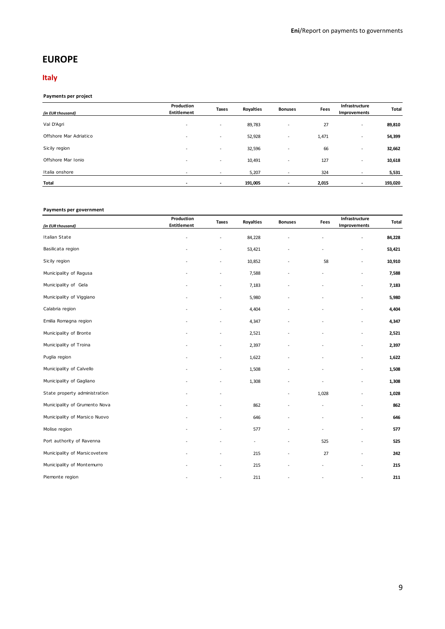# **EUROPE**

### **Italy**

#### **Payments per project**

| (in EUR thousand)      | Production<br>Entitlement | <b>Taxes</b> | Royalties | <b>Bonuses</b>           | Fees  | Infrastructure<br>Improvements | <b>Total</b> |
|------------------------|---------------------------|--------------|-----------|--------------------------|-------|--------------------------------|--------------|
| Val D'Agri             | $\overline{\phantom{a}}$  | ٠            | 89,783    | $\overline{\phantom{a}}$ | 27    | $\overline{\phantom{a}}$       | 89,810       |
| Offshore Mar Adriatico | -                         | ۰            | 52,928    |                          | 1,471 | $\overline{\phantom{a}}$       | 54,399       |
| Sicily region          | -                         | ۰            | 32,596    |                          | 66    | $\overline{\phantom{a}}$       | 32,662       |
| Offshore Mar Ionio     | $\overline{\phantom{a}}$  | ۰            | 10,491    | $\overline{\phantom{a}}$ | 127   | $\overline{\phantom{a}}$       | 10,618       |
| Italia onshore         | ٠                         | ٠            | 5,207     | $\overline{\phantom{a}}$ | 324   | $\sim$                         | 5,531        |
| <b>Total</b>           | ۰                         | ٠            | 191,005   |                          | 2,015 | ٠                              | 193,020      |

| (in EUR thousand)             | Production<br><b>Entitlement</b> | <b>Taxes</b>         | <b>Royalties</b>         | <b>Bonuses</b>           | Fees  | Infrastructure<br>Improvements | Total  |
|-------------------------------|----------------------------------|----------------------|--------------------------|--------------------------|-------|--------------------------------|--------|
| Italian State                 | L.                               |                      | 84,228                   |                          |       | ÷,                             | 84,228 |
| Basilicata region             |                                  | $\overline{a}$       | 53,421                   | $\overline{a}$           |       | $\sim$                         | 53,421 |
| Sicily region                 | ä,                               | ÷,                   | 10,852                   | $\ddot{\phantom{1}}$     | 58    | $\overline{\phantom{a}}$       | 10,910 |
| Municipality of Ragusa        |                                  |                      | 7,588                    |                          |       | L.                             | 7,588  |
| Municipality of Gela          |                                  |                      | 7,183                    |                          |       | ÷,                             | 7,183  |
| Municipality of Viggiano      |                                  |                      | 5,980                    |                          |       | $\ddot{\phantom{1}}$           | 5,980  |
| Calabria region               |                                  |                      | 4,404                    |                          |       | ÷,                             | 4,404  |
| Emilia Romagna region         |                                  |                      | 4,347                    |                          |       | ÷,                             | 4,347  |
| Municipality of Bronte        |                                  |                      | 2,521                    |                          |       | $\overline{\phantom{a}}$       | 2,521  |
| Municipality of Troina        |                                  |                      | 2,397                    |                          |       | $\overline{\phantom{a}}$       | 2,397  |
| Puglia region                 |                                  |                      | 1,622                    |                          |       | ÷,                             | 1,622  |
| Municipality of Calvello      |                                  |                      | 1,508                    |                          |       | ÷,                             | 1,508  |
| Municipality of Gagliano      |                                  |                      | 1,308                    |                          |       | $\sim$                         | 1,308  |
| State property administration |                                  |                      |                          | ÷,                       | 1,028 | ÷,                             | 1,028  |
| Municipality of Grumento Nova |                                  |                      | 862                      | ÷,                       |       | L,                             | 862    |
| Municipality of Marsico Nuovo |                                  |                      | 646                      | $\overline{\phantom{a}}$ | ä,    | $\overline{\phantom{a}}$       | 646    |
| Molise region                 |                                  |                      | 577                      |                          | ÷,    | ÷,                             | 577    |
| Port authority of Ravenna     |                                  |                      | $\overline{\phantom{a}}$ | $\overline{\phantom{a}}$ | 525   | ÷,                             | 525    |
| Municipality of Marsicovetere |                                  |                      | 215                      | $\ddot{\phantom{1}}$     | 27    | ÷,                             | 242    |
| Municipality of Montemurro    |                                  |                      | 215                      |                          |       |                                | 215    |
| Piemonte region               |                                  | $\ddot{\phantom{1}}$ | 211                      |                          |       |                                | 211    |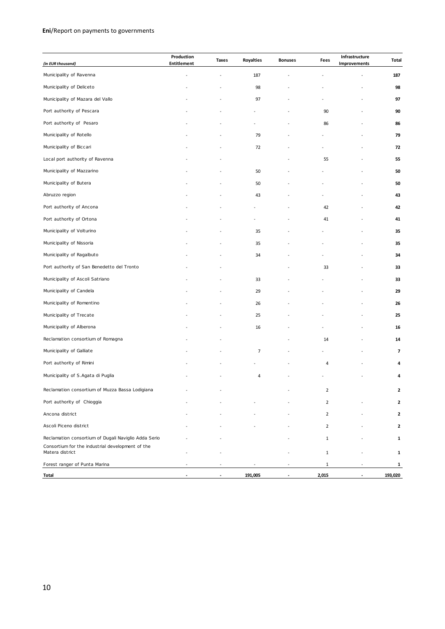### **Eni**/Report on payments to governments

| (in EUR thousand)                                                   | Production<br><b>Entitlement</b> | Taxes          | <b>Royalties</b> | <b>Bonuses</b> | Fees           | Infrastructure<br>Improvements | <b>Total</b> |
|---------------------------------------------------------------------|----------------------------------|----------------|------------------|----------------|----------------|--------------------------------|--------------|
| Municipality of Ravenna                                             |                                  |                | 187              |                |                |                                | 187          |
| Municipality of Deliceto                                            |                                  |                | 98               |                |                |                                | 98           |
| Municipality of Mazara del Vallo                                    |                                  |                | 97               |                |                |                                | 97           |
| Port authority of Pescara                                           |                                  |                |                  |                | 90             |                                | 90           |
| Port authority of Pesaro                                            |                                  |                |                  |                | 86             |                                | 86           |
| Municipality of Rotello                                             |                                  |                | 79               |                |                |                                | 79           |
| Municipality of Biccari                                             |                                  |                | 72               |                |                |                                | 72           |
| Local port authority of Ravenna                                     |                                  |                |                  |                | 55             |                                | 55           |
| Municipality of Mazzarino                                           |                                  |                | 50               |                |                |                                | 50           |
| Municipality of Butera                                              |                                  |                | 50               |                |                |                                | 50           |
| Abruzzo region                                                      |                                  |                | 43               |                |                |                                | 43           |
| Port authority of Ancona                                            |                                  |                |                  |                | 42             |                                | 42           |
| Port authority of Ortona                                            |                                  |                |                  |                | 41             |                                | 41           |
| Municipality of Volturino                                           |                                  |                | 35               |                |                |                                | 35           |
| Municipality of Nissoria                                            |                                  |                | 35               |                |                |                                | 35           |
| Municipality of Ragalbuto                                           |                                  |                | 34               |                |                |                                | 34           |
| Port authority of San Benedetto del Tronto                          |                                  |                |                  |                | 33             |                                | 33           |
| Municipality of Ascoli Satriano                                     |                                  |                | 33               |                |                |                                | 33           |
| Municipality of Candela                                             |                                  |                | 29               |                |                |                                | 29           |
| Municipality of Romentino                                           |                                  |                | 26               |                |                |                                | 26           |
| Municipality of Trecate                                             |                                  |                | 25               |                |                |                                | 25           |
| Municipality of Alberona                                            |                                  |                | 16               |                |                |                                | 16           |
| Reclamation consortium of Romagna                                   |                                  |                |                  |                | 14             |                                | 14           |
| Municipality of Galliate                                            |                                  |                | 7                |                |                |                                | 7            |
| Port authority of Rimini                                            |                                  |                |                  |                | 4              |                                | 4            |
| Municipality of S.Agata di Puglia                                   |                                  |                | 4                |                |                |                                | 4            |
| Reclamation consortium of Muzza Bassa Lodigiana                     |                                  |                |                  |                | $\overline{2}$ |                                | $\mathbf{z}$ |
| Port authority of Chioggia                                          |                                  |                |                  |                | $\overline{2}$ |                                | 2            |
| Ancona district                                                     |                                  |                |                  |                | $\overline{2}$ |                                | $\mathbf{z}$ |
| Ascoli Piceno district                                              |                                  |                |                  |                | $\overline{2}$ |                                | $\mathbf{z}$ |
| Reclamation consortium of Dugali Naviglio Adda Serio                |                                  |                |                  |                | $\mathbf 1$    |                                | 1            |
| Consortium for the industrial development of the<br>Matera district |                                  |                |                  |                | $\mathbf{1}$   |                                | 1            |
| Forest ranger of Punta Marina                                       |                                  |                |                  |                | $\mathbf{1}$   |                                | 1            |
| Total                                                               | $\sim$                           | $\blacksquare$ | 191,005          | $\blacksquare$ | 2,015          | $\sim$                         | 193,020      |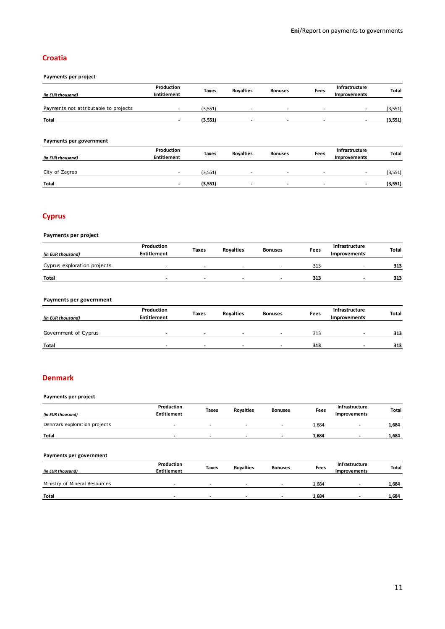### **Croatia**

**Payments per project**

| (in EUR thousand)                     | Production<br><b>Entitlement</b> | <b>Taxes</b> | <b>Royalties</b>             | <b>Bonuses</b>           | Fees                     | Infrastructure<br>Improvements | <b>Total</b> |
|---------------------------------------|----------------------------------|--------------|------------------------------|--------------------------|--------------------------|--------------------------------|--------------|
| Payments not attributable to projects | $\sim$                           | (3, 551)     | $\overline{\phantom{a}}$     | $\sim$                   | $\overline{\phantom{a}}$ | $\overline{\phantom{a}}$       | (3, 551)     |
| <b>Total</b>                          | $\overline{\phantom{a}}$         | (3,551)      | $\overline{\phantom{a}}$     | $\overline{\phantom{a}}$ | $\overline{\phantom{a}}$ | $\sim$                         | (3, 551)     |
| Payments per government               |                                  |              |                              |                          |                          |                                |              |
| (in EUR thousand)                     | Production<br><b>Entitlement</b> | <b>Taxes</b> | <b>Royalties</b>             | <b>Bonuses</b>           | Fees                     | Infrastructure<br>Improvements | <b>Total</b> |
| City of Zagreb                        | ۰.                               | (3, 551)     | $\overline{\phantom{a}}$     | $\sim$                   | $\overline{\phantom{a}}$ | ۰.                             | (3, 551)     |
| <b>Total</b>                          | $\overline{\phantom{0}}$         | (3, 551)     | $\qquad \qquad \blacksquare$ | $\overline{\phantom{a}}$ | $\,$                     |                                | (3, 551)     |

### **Cyprus**

### **Payments per project**

| (in EUR thousand)           | Production<br><b>Entitlement</b> | <b>Taxes</b>             | <b>Royalties</b>         | <b>Bonuses</b> | Fees | Infrastructure<br><b>Improvements</b> | <b>Total</b> |
|-----------------------------|----------------------------------|--------------------------|--------------------------|----------------|------|---------------------------------------|--------------|
| Cyprus exploration projects | -                                | $\sim$                   | $\overline{\phantom{a}}$ | ۰              | 313  |                                       | 313          |
| <b>Total</b>                |                                  | $\overline{\phantom{0}}$ | -                        | -              | 313  |                                       | 313          |

### **Payments per government**

|                      | Production         | <b>Taxes</b>             | <b>Royalties</b> | <b>Bonuses</b>           | Fees | Infrastructure      | <b>Total</b> |
|----------------------|--------------------|--------------------------|------------------|--------------------------|------|---------------------|--------------|
| (in EUR thousand)    | <b>Entitlement</b> |                          |                  |                          |      | <b>Improvements</b> |              |
|                      |                    |                          |                  |                          |      |                     |              |
| Government of Cyprus |                    | $\overline{\phantom{a}}$ | $\overline{a}$   | $\sim$                   | 313  |                     | 313          |
| <b>Total</b>         |                    | $\overline{\phantom{0}}$ |                  | $\overline{\phantom{a}}$ | 313  |                     | 313          |

### **Denmark**

#### **Payments per project**

| (in EUR thousand)            | Production<br><b>Entitlement</b> | <b>Taxes</b> | <b>Rovalties</b>         | <b>Bonuses</b> | Fees  | Infrastructure<br><b>Improvements</b> | <b>Total</b> |
|------------------------------|----------------------------------|--------------|--------------------------|----------------|-------|---------------------------------------|--------------|
| Denmark exploration projects | $\sim$                           |              | $\overline{\phantom{a}}$ |                | 1,684 |                                       | 1,684        |
| <b>Total</b>                 |                                  |              | $\overline{\phantom{a}}$ |                | 1,684 |                                       | 1,684        |

| (in EUR thousand)             | Production<br><b>Entitlement</b> | <b>Taxes</b> | <b>Rovalties</b>         | <b>Bonuses</b> | Fees  | Infrastructure<br><b>Improvements</b> | Total |
|-------------------------------|----------------------------------|--------------|--------------------------|----------------|-------|---------------------------------------|-------|
| Ministry of Mineral Resources |                                  |              |                          |                | 1.684 |                                       | 1,684 |
| <b>Total</b>                  | $\overline{\phantom{0}}$         | . .          | $\overline{\phantom{a}}$ |                | 1,684 |                                       | 1.684 |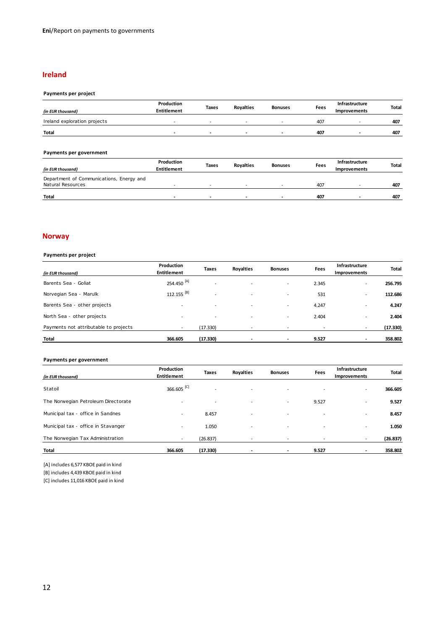### **Ireland**

### **Payments per project**

| (in EUR thousand)            | Production<br><b>Entitlement</b> | <b>Taxes</b>             | <b>Rovalties</b> | <b>Bonuses</b> | Fees | Infrastructure<br><b>Improvements</b> | <b>Total</b> |
|------------------------------|----------------------------------|--------------------------|------------------|----------------|------|---------------------------------------|--------------|
| Ireland exploration projects |                                  | $\sim$                   |                  |                | 407  |                                       | 407          |
| Total                        |                                  | $\overline{\phantom{0}}$ | -                |                | 407  |                                       | 407          |

#### **Payments per government**

| (in EUR thousand)                                             | Production<br><b>Entitlement</b> | <b>Taxes</b>             | <b>Royalties</b>         | <b>Bonuses</b>           | Fees | Infrastructure<br><b>Improvements</b> | Total |
|---------------------------------------------------------------|----------------------------------|--------------------------|--------------------------|--------------------------|------|---------------------------------------|-------|
| Department of Communications, Energy and<br>Natural Resources | . .                              | $\overline{\phantom{a}}$ | $\overline{\phantom{0}}$ |                          | 407  |                                       | 407   |
| Total                                                         | $\overline{\phantom{0}}$         | $\overline{\phantom{0}}$ | $\overline{\phantom{0}}$ | $\overline{\phantom{0}}$ | 407  |                                       | 407   |

### **Norway**

#### **Payments per project**

| (in EUR thousand)                     | Production<br>Entitlement | <b>Taxes</b>             | <b>Royalties</b>         | <b>Bonuses</b>           | Fees   | Infrastructure<br>Improvements | <b>Total</b> |
|---------------------------------------|---------------------------|--------------------------|--------------------------|--------------------------|--------|--------------------------------|--------------|
| Barents Sea - Goliat                  | 254.450 <sup>[A]</sup>    |                          | $\overline{\phantom{a}}$ | $\sim$                   | 2.345  | $\overline{\phantom{a}}$       | 256.795      |
| Norvegian Sea - Marulk                | 112.155 <sup>[B]</sup>    | $\overline{\phantom{a}}$ | $\overline{\phantom{a}}$ | $\overline{\phantom{a}}$ | 531    | $\overline{\phantom{a}}$       | 112.686      |
| Barents Sea - other projects          | $\sim$                    | -                        | $\overline{\phantom{a}}$ | $\sim$                   | 4.247  | $\overline{\phantom{a}}$       | 4.247        |
| North Sea - other projects            | $\sim$                    | $\overline{\phantom{a}}$ | $\overline{\phantom{a}}$ | $\overline{\phantom{a}}$ | 2.404  | $\overline{\phantom{a}}$       | 2.404        |
| Payments not attributable to projects |                           | (17.330)                 | $\overline{\phantom{a}}$ | $\overline{\phantom{a}}$ | $\sim$ |                                | (17.330)     |
| Total                                 | 366.605                   | (17.330)                 |                          |                          | 9.527  |                                | 358.802      |

#### **Payments per government**

| (in EUR thousand)                   | Production<br><b>Entitlement</b> | <b>Taxes</b>             | Royalties                | <b>Bonuses</b>           | <b>Fees</b>              | Infrastructure<br>Improvements | <b>Total</b> |
|-------------------------------------|----------------------------------|--------------------------|--------------------------|--------------------------|--------------------------|--------------------------------|--------------|
| Statoil                             | $366.605$ <sup>[C]</sup>         |                          | $\overline{\phantom{a}}$ | $\overline{\phantom{a}}$ | $\sim$                   | $\overline{\phantom{a}}$       | 366.605      |
| The Norwegian Petroleum Directorate | ٠.                               | $\overline{\phantom{a}}$ | $\overline{\phantom{a}}$ | $\overline{\phantom{a}}$ | 9.527                    | $\overline{\phantom{a}}$       | 9.527        |
| Municipal tax - office in Sandnes   | $\overline{\phantom{0}}$         | 8.457                    | $\overline{\phantom{a}}$ | $\overline{\phantom{a}}$ | $\overline{\phantom{a}}$ | $\overline{\phantom{a}}$       | 8.457        |
| Municipal tax - office in Stavanger | ٠.                               | 1.050                    | $\overline{\phantom{a}}$ | $\overline{\phantom{a}}$ | $\overline{\phantom{a}}$ | $\overline{\phantom{a}}$       | 1.050        |
| The Norwegian Tax Administration    |                                  | (26.837)                 |                          | $\blacksquare$           | $\overline{\phantom{a}}$ |                                | (26.837)     |
| Total                               | 366.605                          | (17.330)                 |                          |                          | 9.527                    |                                | 358.802      |

[A] includes 6,577 KBOE paid in kind

[B] includes 4,439 KBOE paid in kind

[C] includes 11,016 KBOE paid in kind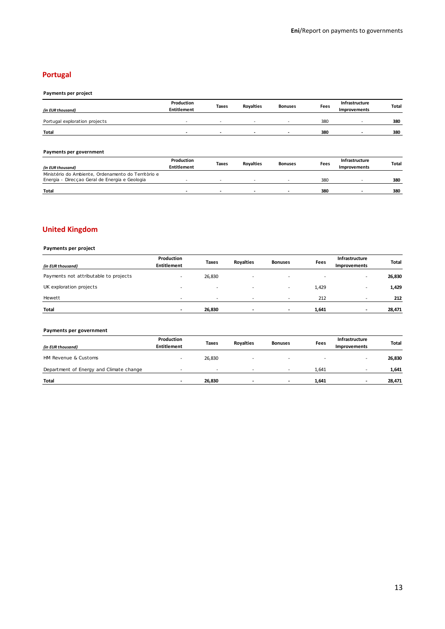### **Portugal**

#### **Payments per project**

| (in EUR thousand)                                   | Production<br>Entitlement | <b>Taxes</b> | Royalties                | <b>Bonuses</b>           | Fees | Infrastructure<br>Improvements | <b>Total</b> |
|-----------------------------------------------------|---------------------------|--------------|--------------------------|--------------------------|------|--------------------------------|--------------|
| Portugal exploration projects                       |                           | ۰            | $\overline{\phantom{a}}$ | $\overline{\phantom{a}}$ | 380  | $\overline{\phantom{a}}$       | 380          |
| Total                                               |                           | ٠            | $\overline{\phantom{a}}$ | $\overline{\phantom{a}}$ | 380  | $\sim$                         | 380          |
|                                                     |                           |              |                          |                          |      |                                |              |
| Payments per government                             |                           |              |                          |                          |      |                                |              |
|                                                     | Production                | <b>Taxes</b> | <b>Royalties</b>         | <b>Bonuses</b>           | Fees | Infrastructure                 | <b>Total</b> |
| (in EUR thousand)                                   | <b>Entitlement</b>        |              |                          |                          |      | Improvements                   |              |
| Ministério do Ambiente, Ordenamento do Território e |                           |              |                          |                          |      |                                |              |
| Energia - Direcção Geral de Energia e Geologia      | -                         | ۰            | $\overline{\phantom{a}}$ | $\overline{\phantom{a}}$ | 380  | $\overline{\phantom{0}}$       | 380          |

**Total ‐ ‐ ‐ ‐ ‐ 380 380**

### **United Kingdom**

#### **Payments per project**

| (in EUR thousand)                     | Production<br><b>Entitlement</b> | <b>Taxes</b>             | <b>Rovalties</b>         | <b>Bonuses</b>           | Fees                     | Infrastructure<br><b>Improvements</b> | Total  |
|---------------------------------------|----------------------------------|--------------------------|--------------------------|--------------------------|--------------------------|---------------------------------------|--------|
| Payments not attributable to projects |                                  | 26,830                   | $\overline{\phantom{0}}$ | $\overline{\phantom{a}}$ | $\overline{\phantom{0}}$ |                                       | 26,830 |
| UK exploration projects               | $\overline{\phantom{a}}$         | $\overline{\phantom{0}}$ | $\overline{\phantom{a}}$ | -                        | 1,429                    | -                                     | 1,429  |
| Hewett                                |                                  |                          |                          |                          | 212                      |                                       | 212    |
| <b>Total</b>                          | $\overline{\phantom{0}}$         | 26,830                   | $\overline{\phantom{0}}$ | $\overline{\phantom{0}}$ | 1.641                    |                                       | 28,471 |

| (in EUR thousand)                       | Production<br><b>Entitlement</b> | <b>Taxes</b>             | <b>Rovalties</b> | <b>Bonuses</b>           | Fees  | Infrastructure<br><b>Improvements</b> | Total  |
|-----------------------------------------|----------------------------------|--------------------------|------------------|--------------------------|-------|---------------------------------------|--------|
| HM Revenue & Customs                    |                                  | 26,830                   |                  | $\overline{\phantom{a}}$ |       |                                       | 26,830 |
| Department of Energy and Climate change | -                                | $\overline{\phantom{a}}$ |                  | $\overline{\phantom{0}}$ | 1.641 | -                                     | 1,641  |
| <b>Total</b>                            |                                  | 26.830                   |                  | $\overline{\phantom{a}}$ | 1,641 | $\overline{\phantom{0}}$              | 28,471 |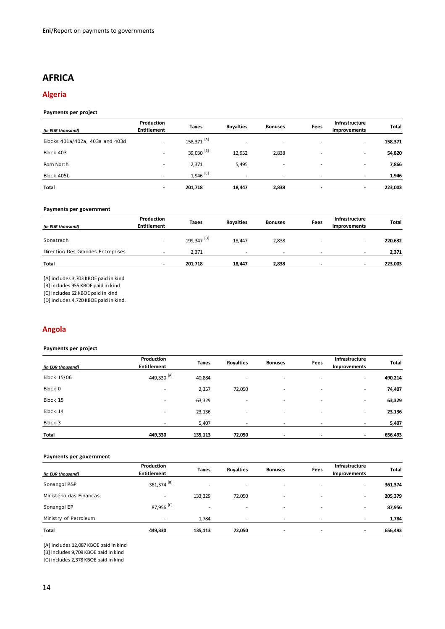## **AFRICA**

## **Algeria**

### **Payments per project**

| (in EUR thousand)               | Production<br><b>Entitlement</b> | <b>Taxes</b>           | <b>Royalties</b> | <b>Bonuses</b> | Fees                     | Infrastructure<br>Improvements | <b>Total</b> |
|---------------------------------|----------------------------------|------------------------|------------------|----------------|--------------------------|--------------------------------|--------------|
| Blocks 401a/402a, 403a and 403d | ۰                                | 158,371 <sup>[A]</sup> | ٠                | ۰              | ۰                        | ٠                              | 158,371      |
| Block 403                       |                                  | 39,030 <sup>[B]</sup>  | 12,952           | 2,838          |                          |                                | 54,820       |
| Rom North                       | ۰                                | 2,371                  | 5,495            | ۰              |                          | ۰                              | 7,866        |
| Block 405b                      | ۰.                               | $1,946$ <sup>[C]</sup> |                  | ۰              |                          |                                | 1,946        |
| <b>Total</b>                    | ٠                                | 201,718                | 18,447           | 2,838          | $\overline{\phantom{a}}$ | $\overline{\phantom{a}}$       | 223,003      |

#### **Payments per government**

| (in EUR thousand)                 | Production<br><b>Entitlement</b> | <b>Taxes</b>           | <b>Rovalties</b> | <b>Bonuses</b> | Fees | Infrastructure<br><b>Improvements</b> | <b>Total</b> |
|-----------------------------------|----------------------------------|------------------------|------------------|----------------|------|---------------------------------------|--------------|
| Sonatrach                         |                                  | 199,347 <sup>[D]</sup> | 18.447           | 2,838          |      |                                       | 220,632      |
| Direction Des Grandes Entreprises |                                  | 2.371                  |                  |                |      |                                       | 2,371        |
| <b>Total</b>                      | $\overline{\phantom{0}}$         | 201.718                | 18.447           | 2,838          |      |                                       | 223,003      |

[A] includes 3,703 KBOE paid in kind

[B] includes 955 KBOE paid in kind

[C] includes 62 KBOE paid in kind

[D] includes 4,720 KBOE paid in kind.

### **Angola**

#### **Payments per project**

| (in EUR thousand)  | Production<br><b>Entitlement</b> | <b>Taxes</b> | Royalties                | <b>Bonuses</b>           | <b>Fees</b> | Infrastructure<br>Improvements | <b>Total</b> |
|--------------------|----------------------------------|--------------|--------------------------|--------------------------|-------------|--------------------------------|--------------|
| <b>Block 15/06</b> | 449,330 <sup>[A]</sup>           | 40,884       | ۰                        | $\overline{\phantom{a}}$ | ۰           |                                | 490,214      |
| Block 0            | ۰                                | 2,357        | 72,050                   | ۰                        | ٠           | ۰.                             | 74,407       |
| Block 15           | ۰                                | 63,329       | $\sim$                   | ۰                        | ۰           | ٠                              | 63,329       |
| Block 14           | ۰                                | 23,136       | ٠                        | $\overline{\phantom{a}}$ | ٠           | ۰                              | 23,136       |
| Block 3            | ۰                                | 5,407        | $\overline{\phantom{a}}$ | $\overline{\phantom{a}}$ | ٠           | ۰                              | 5,407        |
| <b>Total</b>       | 449,330                          | 135,113      | 72,050                   | -                        | -           |                                | 656,493      |

#### **Payments per government**

| (in EUR thousand)       | Production<br><b>Entitlement</b> | <b>Taxes</b>             | <b>Royalties</b>         | <b>Bonuses</b>           | Fees                     | Infrastructure<br>Improvements | <b>Total</b> |
|-------------------------|----------------------------------|--------------------------|--------------------------|--------------------------|--------------------------|--------------------------------|--------------|
| Sonangol P&P            | 361,374 <sup>[B]</sup>           | $\overline{\phantom{a}}$ | ۰                        | $\overline{\phantom{a}}$ | ٠                        |                                | 361,374      |
| Ministério das Finanças |                                  | 133,329                  | 72,050                   |                          |                          |                                | 205,379      |
| Sonangol EP             | 87,956 <sup>[C]</sup>            |                          | ۰                        | $\overline{\phantom{a}}$ | ۰                        |                                | 87,956       |
| Ministry of Petroleum   |                                  | 1,784                    | $\overline{\phantom{a}}$ | $\overline{\phantom{a}}$ | $\overline{\phantom{a}}$ |                                | 1,784        |
| <b>Total</b>            | 449,330                          | 135,113                  | 72,050                   |                          |                          |                                | 656,493      |

[A] includes 12,087 KBOE paid in kind

[B] includes 9,709 KBOE paid in kind

[C] includes 2,378 KBOE paid in kind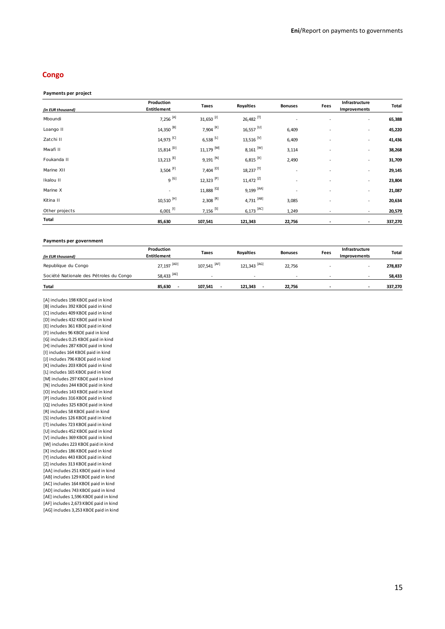### **Congo**

#### **Payments per project**

| (in EUR thousand) | Production<br><b>Entitlement</b> | <b>Taxes</b>           | <b>Royalties</b>        | <b>Bonuses</b>           | Fees                     | Infrastructure<br>Improvements | <b>Total</b> |
|-------------------|----------------------------------|------------------------|-------------------------|--------------------------|--------------------------|--------------------------------|--------------|
| Mboundi           | 7,256 <sup>[A]</sup>             | $31,650$ [J]           | 26,482 [T]              |                          |                          | $\sim$                         | 65,388       |
| Loango II         | 14,350 <sup>[B]</sup>            | 7,904 <sup>[K]</sup>   | $16,557$ <sup>[U]</sup> | 6,409                    |                          | $\sim$                         | 45,220       |
| Zatchi II         | $14,973$ <sup>[C]</sup>          | 6,538 $[L]$            | 13,516 $^{[V]}$         | 6,409                    |                          | $\sim$                         | 41,436       |
| Mwafi II          | $15,814$ <sup>[D]</sup>          | $11,179$ $^{[M]}$      | $8,161$ [W]             | 3,114                    |                          | $\sim$                         | 38,268       |
| Foukanda II       | 13,213 $[E]$                     | $9,191$ $^{[N]}$       | 6,815 $[X]$             | 2,490                    |                          | $\sim$                         | 31,709       |
| Marine XII        | $3,504$ <sup>[F]</sup>           | 7,404 <sup>[0]</sup>   | 18,237                  | $\overline{\phantom{a}}$ |                          | $\sim$                         | 29,145       |
| Ikalou II         | $q^{[G]}$                        | 12,323 $^{[P]}$        | $11,472$ <sup>[Z]</sup> |                          |                          | $\sim$                         | 23,804       |
| Marine X          | $\blacksquare$                   | $11,888$ $^{[Q]}$      | 9,199 <sup>[AA]</sup>   |                          | $\overline{\phantom{a}}$ | $\sim$                         | 21,087       |
| Kitina II         | $10,510$ <sup>[H]</sup>          | $2,308$ <sup>[R]</sup> | 4,731 $^{[AB]}$         | 3,085                    |                          | $\sim$                         | 20,634       |
| Other projects    | $6,001$ <sup>[1]</sup>           | 7,156 $^{[S]}$         | $6,173$ <sup>[AC]</sup> | 1,249                    | $\overline{\phantom{a}}$ | $\sim$                         | 20,579       |
| <b>Total</b>      | 85,630                           | 107,541                | 121,343                 | 22,756                   |                          |                                | 337,270      |

#### **Payments per government**

| (in EUR thousand)                       | Production<br><b>Entitlement</b> | <b>Taxes</b> | <b>Rovalties</b>        | <b>Bonuses</b> | Fees     | Infrastructure<br><b>Improvements</b> | <b>Total</b> |
|-----------------------------------------|----------------------------------|--------------|-------------------------|----------------|----------|---------------------------------------|--------------|
| Republique du Congo                     | 27.197 <sup>[AD]</sup>           | 107.541 [AF] | 121.343 <sup>[AG]</sup> | 22.756         | <b>.</b> |                                       | 278,837      |
| Société Nationale des Pétroles du Congo | 58,433 [AE]                      |              |                         |                | <b>.</b> |                                       | 58,433       |
| <b>Total</b>                            | 85.630<br>$\sim$                 | 107.541      | 121.343                 | 22.756         |          |                                       | 337,270      |

[A] includes 198 KBOE paid in kind [B] includes 392 KBOE paid in kind [C] includes 409 KBOE paid in kind [D] includes 432 KBOE paid in kind [E] includes 361 KBOE paid in kind [F] includes 96 KBOE paid in kind [G] includes 0.25 KBOE paid in kind [H] includes 287 KBOE paid in kind [I] includes 164 KBOE paid in kind [J] includes 796 KBOE paid in kind [K] includes 203 KBOE paid in kind [L] includes 165 KBOE paid in kind [M] includes 297 KBOE paid in kind [N] includes 244 KBOE paid in kind [O] includes 143 KBOE paid in kind [P] includes 316 KBOE paid in kind [Q] includes 325 KBOE paid in kind [R] includes 58 KBOE paid in kind [S] includes 126 KBOE paid in kind [T] includes 723 KBOE paid in kind [U] includes 452 KBOE paid in kind [V] includes 369 KBOE paid in kind [W] includes 223 KBOE paid in kind [X] includes 186 KBOE paid in kind [Y] includes 443 KBOE paid in kind [Z] includes 313 KBOE paid in kind [AA] includes 251 KBOE paid in kind [AB] includes 129 KBOE paid in kind [AC] includes 164 KBOE paid in kind [AD] includes 743 KBOE paid in kind [AE] includes 1,596 KBOE paid in kind [AF] includes 2,673 KBOE paid in kind [AG] includes 3,253 KBOE paid in kind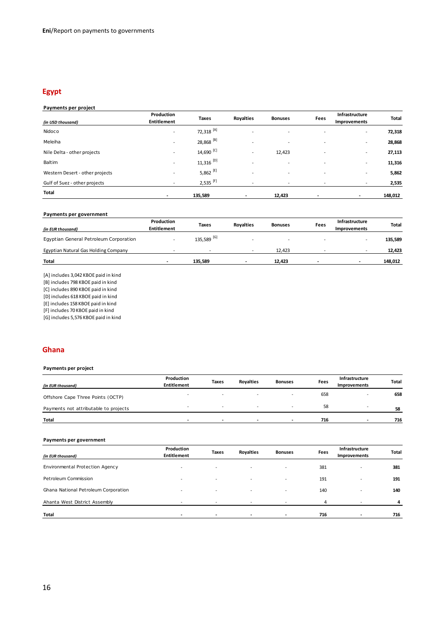### **Egypt**

#### **Payments per project**

|                                 | Production               | <b>Taxes</b>            | <b>Royalties</b>         | <b>Bonuses</b>           | Fees                     | Infrastructure           | Total   |
|---------------------------------|--------------------------|-------------------------|--------------------------|--------------------------|--------------------------|--------------------------|---------|
| (in USD thousand)               | <b>Entitlement</b>       |                         |                          |                          |                          | Improvements             |         |
| Nidoco                          | $\overline{\phantom{a}}$ | 72,318 <sup>[A]</sup>   | ۰                        | $\overline{\phantom{a}}$ | $\overline{\phantom{a}}$ | $\overline{\phantom{a}}$ | 72,318  |
| Meleiha                         | $\overline{\phantom{a}}$ | 28,868 <sup>[B]</sup>   | $\overline{\phantom{0}}$ |                          | $\overline{\phantom{a}}$ | $\overline{\phantom{a}}$ | 28,868  |
| Nile Delta - other projects     | $\overline{\phantom{a}}$ | 14,690 <sup>[C]</sup>   | $\overline{\phantom{a}}$ | 12,423                   | $\overline{\phantom{a}}$ | $\overline{\phantom{a}}$ | 27,113  |
| Baltim                          | $\overline{\phantom{a}}$ | $11,316$ <sup>[D]</sup> | $\overline{\phantom{a}}$ | $\overline{\phantom{a}}$ | $\overline{\phantom{a}}$ | $\overline{\phantom{a}}$ | 11,316  |
| Western Desert - other projects |                          | 5,862 <sup>[E]</sup>    | $\overline{\phantom{a}}$ | $\overline{\phantom{a}}$ | $\overline{\phantom{a}}$ | $\overline{\phantom{a}}$ | 5,862   |
| Gulf of Suez - other projects   |                          | $2,535$ <sup>[F]</sup>  | $\overline{\phantom{0}}$ | $\overline{\phantom{a}}$ | $\overline{\phantom{a}}$ |                          | 2,535   |
| <b>Total</b>                    |                          | 135,589                 |                          | 12,423                   |                          |                          | 148,012 |

#### **Payments per government**

| (in EUR thousand)                      | Production<br><b>Entitlement</b> | <b>Taxes</b>           | <b>Rovalties</b>         | <b>Bonuses</b> | Fees | Infrastructure<br><b>Improvements</b> | Total   |
|----------------------------------------|----------------------------------|------------------------|--------------------------|----------------|------|---------------------------------------|---------|
| Egyptian General Petroleum Corporation |                                  | 135,589 <sup>[G]</sup> | $\overline{\phantom{a}}$ |                |      | $\overline{\phantom{a}}$              | 135,589 |
| Egyptian Natural Gas Holding Company   | $\overline{\phantom{a}}$         |                        | $\overline{\phantom{a}}$ | 12.423         |      |                                       | 12,423  |
| Total                                  |                                  | 135.589                | -                        | 12.423         | -    |                                       | 148.012 |

[A] includes 3,042 KBOE paid in kind

[B] includes 798 KBOE paid in kind [C] includes 890 KBOE paid in kind

[D] includes 618 KBOE paid in kind

[E] includes 158 KBOE paid in kind

[F] includes 70 KBOE paid in kind

[G] includes 5,576 KBOE paid in kind

### **Ghana**

#### **Payments per project**

| (in EUR thousand)                     | Production<br><b>Entitlement</b> | <b>Taxes</b>             | <b>Rovalties</b>         | <b>Bonuses</b> | Fees | Infrastructure<br><b>Improvements</b> | <b>Total</b> |
|---------------------------------------|----------------------------------|--------------------------|--------------------------|----------------|------|---------------------------------------|--------------|
| Offshore Cape Three Points (OCTP)     |                                  | $\sim$                   |                          |                | 658  |                                       | 658          |
| Payments not attributable to projects |                                  | $\overline{\phantom{0}}$ | $\overline{\phantom{a}}$ |                | 58   | -                                     | 58           |
| <b>Total</b>                          |                                  | $\overline{\phantom{a}}$ | $\overline{\phantom{0}}$ |                | 716  | -                                     | 716          |

| (in EUR thousand)                    | Production<br><b>Entitlement</b> | <b>Taxes</b>             | Royalties                | <b>Bonuses</b>           | Fees | Infrastructure<br>Improvements | Total |
|--------------------------------------|----------------------------------|--------------------------|--------------------------|--------------------------|------|--------------------------------|-------|
| Environmental Protection Agency      | $\overline{\phantom{0}}$         | $\overline{\phantom{a}}$ | ۰                        | $\overline{\phantom{a}}$ | 381  |                                | 381   |
| Petroleum Commission                 |                                  | -                        |                          | $\overline{\phantom{a}}$ | 191  |                                | 191   |
| Ghana National Petroleum Corporation | $\overline{\phantom{0}}$         | $\overline{\phantom{a}}$ | $\overline{\phantom{a}}$ | $\overline{\phantom{a}}$ | 140  |                                | 140   |
| Ahanta West District Assembly        | $\overline{\phantom{0}}$         | $\overline{\phantom{a}}$ | -                        | $\overline{\phantom{a}}$ | 4    |                                | 4     |
| <b>Total</b>                         | $\overline{\phantom{a}}$         | ٠                        | ۰                        |                          | 716  |                                | 716   |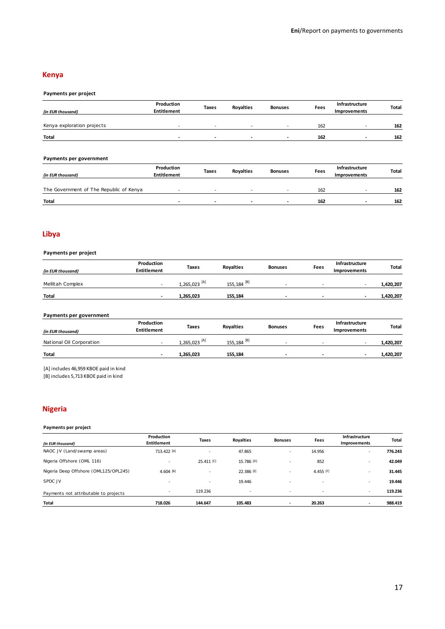### **Kenya**

### **Payments per project**

| (in EUR thousand)                       | Production<br>Entitlement | <b>Taxes</b>             | Royalties                | <b>Bonuses</b>           | <b>Fees</b> | Infrastructure<br>Improvements | Total |
|-----------------------------------------|---------------------------|--------------------------|--------------------------|--------------------------|-------------|--------------------------------|-------|
|                                         |                           |                          |                          |                          |             |                                |       |
| Kenya exploration projects              | $\sim$                    | $\sim$                   | $\sim$                   | $\overline{\phantom{a}}$ | 162         | $\overline{\phantom{a}}$       | 162   |
| Total                                   | ۰                         | $\overline{\phantom{a}}$ | $\overline{\phantom{a}}$ | $\overline{\phantom{a}}$ | 162         | $\overline{\phantom{a}}$       | 162   |
| Payments per government                 |                           |                          |                          |                          |             |                                |       |
| (in EUR thousand)                       | Production<br>Entitlement | <b>Taxes</b>             | <b>Royalties</b>         | <b>Bonuses</b>           | Fees        | Infrastructure<br>Improvements | Total |
| The Government of The Republic of Kenya | $\overline{\phantom{a}}$  | $\overline{\phantom{a}}$ | $\sim$                   | $\overline{\phantom{a}}$ | 162         | $\overline{a}$                 | 162   |
| <b>Total</b>                            | $\overline{\phantom{a}}$  | $\overline{\phantom{0}}$ | $\overline{\phantom{a}}$ | $\overline{\phantom{0}}$ | 162         | -                              | 162   |

## **Libya**

#### **Payments per project**

| (in EUR thousand) | Production<br>Entitlement | <b>Taxes</b>             | <b>Rovalties</b>       | <b>Bonuses</b> | Fees | Infrastructure<br><b>Improvements</b> | <b>Total</b> |
|-------------------|---------------------------|--------------------------|------------------------|----------------|------|---------------------------------------|--------------|
| Mellitah Complex  |                           | 1,265,023 <sup>[A]</sup> | 155,184 <sup>[B]</sup> |                |      |                                       | 1,420,207    |
| Total             |                           | 1.265.023                | 155.184                | -              | -    |                                       | 1,420,207    |

### **Payments per government**

| (in EUR thousand)        | Production<br>Entitlement | <b>Taxes</b>             | <b>Royalties</b>       | <b>Bonuses</b> | Fees | Infrastructure<br><b>Improvements</b> | <b>Total</b> |
|--------------------------|---------------------------|--------------------------|------------------------|----------------|------|---------------------------------------|--------------|
| National Oil Corporation |                           | 1,265,023 <sup>[A]</sup> | 155,184 <sup>[B]</sup> |                |      |                                       | 1,420,207    |
| Total                    |                           | 1.265.023                | 155.184                | -              |      |                                       | 1,420,207    |

[A] includes 46,959 KBOE paid in kind

[B] includes 5,713 KBOE paid in kind

## **Nigeria**

#### **Payments per project**

| (in EUR thousand)                     | Production<br>Entitlement | <b>Taxes</b>             | Royalties                | <b>Bonuses</b>           | Fees                     | Infrastructure<br><b>Improvements</b> | Total   |
|---------------------------------------|---------------------------|--------------------------|--------------------------|--------------------------|--------------------------|---------------------------------------|---------|
| NAOC JV (Land/swamp areas)            | 713.422 [A]               | <b>.</b>                 | 47.865                   | $\overline{\phantom{a}}$ | 14.956                   | $\sim$                                | 776.243 |
| Nigeria Offshore (OML 116)            | $\overline{\phantom{0}}$  | 25.411 [C]               | 15.786 [D]               | ۰.                       | 852                      | $\overline{\phantom{a}}$              | 42.049  |
| Nigeria Deep Offshore (OML125/OPL245) | $4.604$ [B]               | ۰                        | 22.386 [E]               | -                        | 4.455 [F]                | $\overline{\phantom{a}}$              | 31.445  |
| SPDC JV                               | $\overline{\phantom{0}}$  | $\overline{\phantom{a}}$ | 19.446                   | $\overline{\phantom{a}}$ | $\overline{\phantom{a}}$ | $\overline{\phantom{a}}$              | 19.446  |
| Payments not attributable to projects | $\overline{\phantom{0}}$  | 119.236                  | $\overline{\phantom{a}}$ | $\overline{\phantom{a}}$ | $\overline{\phantom{a}}$ | $\overline{\phantom{a}}$              | 119.236 |
| Total                                 | 718.026                   | 144.647                  | 105.483                  | $\overline{\phantom{0}}$ | 20.263                   |                                       | 988.419 |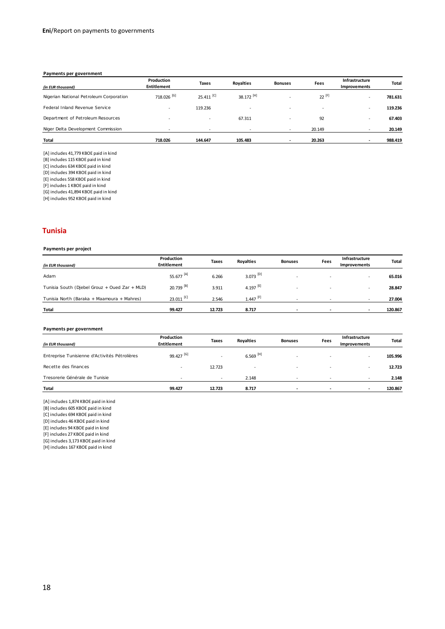#### **Payments per government**

| (in EUR thousand)                       | Production<br><b>Entitlement</b> | <b>Taxes</b>             | <b>Rovalties</b>      | <b>Bonuses</b> | Fees                | Infrastructure<br><b>Improvements</b> | <b>Total</b> |
|-----------------------------------------|----------------------------------|--------------------------|-----------------------|----------------|---------------------|---------------------------------------|--------------|
| Nigerian National Petroleum Corporation | 718.026 <sup>[G]</sup>           | 25.411 <sup>[C]</sup>    | 38.172 <sup>[H]</sup> |                | $22$ <sup>[F]</sup> |                                       | 781.631      |
| Federal Inland Revenue Service          | $\overline{\phantom{a}}$         | 119.236                  |                       | -              | -                   |                                       | 119.236      |
| Department of Petroleum Resources       |                                  | $\overline{\phantom{0}}$ | 67.311                |                | 92                  |                                       | 67.403       |
| Niger Delta Development Commission      |                                  | $\overline{\phantom{0}}$ |                       | $\sim$         | 20.149              |                                       | 20.149       |
| <b>Total</b>                            | 718.026                          | 144.647                  | 105.483               |                | 20.263              |                                       | 988.419      |

[A] includes 41,779 KBOE paid in kind

[B] includes 115 KBOE paid in kind

[C] includes 634 KBOE paid in kind [D] includes 394 KBOE paid in kind

[E] includes 558 KBOE paid in kind

[F] includes 1 KBOE paid in kind

[G] includes 41,894 KBOE paid in kind

[H] includes 952 KBOE paid in kind

### **Tunisia**

#### **Payments per project**

| (in EUR thousand)                             | Production<br>Entitlement | Taxes  | <b>Rovalties</b>       | <b>Bonuses</b>           | Fees                     | Infrastructure<br><b>Improvements</b> | Total   |
|-----------------------------------------------|---------------------------|--------|------------------------|--------------------------|--------------------------|---------------------------------------|---------|
| Adam                                          | 55.677 <sup>[A]</sup>     | 6.266  | $3.073$ <sup>[D]</sup> |                          | $\overline{\phantom{a}}$ | $\overline{\phantom{a}}$              | 65.016  |
| Tunisia South (Djebel Grouz + Oued Zar + MLD) | $20.739$ <sup>[B]</sup>   | 3.911  | 4.197 $^{[E]}$         | $\overline{\phantom{0}}$ |                          |                                       | 28.847  |
| Tunisia North (Baraka + Maamoura + Mahres)    | $23.011$ <sup>[C]</sup>   | 2.546  | $1.447$ <sup>[F]</sup> | $\overline{\phantom{0}}$ | $\sim$                   | $\sim$                                | 27.004  |
| <b>Total</b>                                  | 99.427                    | 12.723 | 8.717                  |                          |                          |                                       | 120.867 |

#### **Payments per government**

| (in EUR thousand)                             | Production<br>Entitlement | <b>Taxes</b>             | Royalties              | <b>Bonuses</b>           | Fees                     | Infrastructure<br><b>Improvements</b> | <b>Total</b> |
|-----------------------------------------------|---------------------------|--------------------------|------------------------|--------------------------|--------------------------|---------------------------------------|--------------|
| Entreprise Tunisienne d'Activités Pétrolières | 99.427 <sup>[G]</sup>     |                          | $6.569$ <sup>[H]</sup> | $\overline{\phantom{0}}$ | $\overline{\phantom{a}}$ |                                       | 105.996      |
| Recette des finances                          | $\sim$                    | 12.723                   | <b>.</b>               | $\overline{\phantom{a}}$ | $\overline{\phantom{a}}$ | $\overline{\phantom{a}}$              | 12.723       |
| Tresorerie Générale de Tunisie                | $\overline{\phantom{0}}$  | $\overline{\phantom{0}}$ | 2.148                  | $\overline{\phantom{a}}$ | $\overline{\phantom{0}}$ | $\overline{\phantom{a}}$              | 2.148        |
| <b>Total</b>                                  | 99.427                    | 12.723                   | 8.717                  |                          |                          |                                       | 120.867      |

[A] includes 1,874 KBOE paid in kind

[B] includes 605 KBOE paid in kind

[C] includes 694 KBOE paid in kind

[D] includes 46 KBOE paid in kind

[E] includes 94 KBOE paid in kind [F] includes 27 KBOE paid in kind

[G] includes 3,173 KBOE paid in kind

[H] includes 167 KBOE paid in kind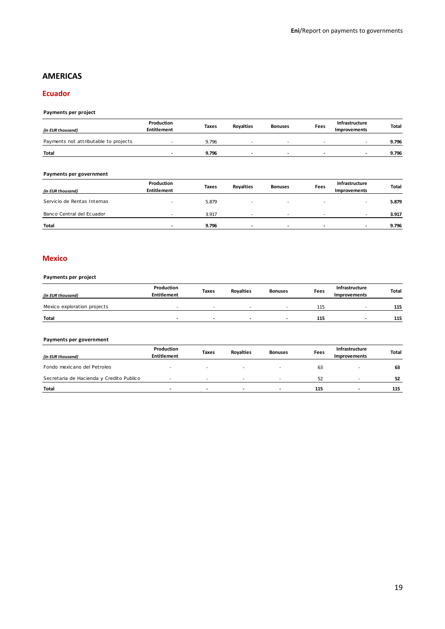### **AMERICAS**

### **Ecuador**

### **Payments per project**

| (in EUR thousand)                     | Production<br><b>Entitlement</b> | <b>Taxes</b> | <b>Royalties</b>         | <b>Bonuses</b>           | Fees                     | Infrastructure<br>Improvements | <b>Total</b> |
|---------------------------------------|----------------------------------|--------------|--------------------------|--------------------------|--------------------------|--------------------------------|--------------|
| Payments not attributable to projects | $\overline{\phantom{a}}$         | 9.796        | $\overline{\phantom{a}}$ | $\overline{\phantom{a}}$ | $\overline{\phantom{a}}$ | $\overline{\phantom{a}}$       | 9.796        |
| Total                                 |                                  | 9.796        | -                        |                          |                          | $\overline{\phantom{a}}$       | 9.796        |
|                                       |                                  |              |                          |                          |                          |                                |              |
| Payments per government               |                                  |              |                          |                          |                          |                                |              |
| (in EUR thousand)                     | Production<br><b>Entitlement</b> | <b>Taxes</b> | <b>Royalties</b>         | <b>Bonuses</b>           | Fees                     | Infrastructure<br>Improvements | <b>Total</b> |
| Servicio de Rentas Internas           | $\overline{\phantom{a}}$         | 5.879        | $\overline{\phantom{a}}$ | $\overline{\phantom{a}}$ | $\overline{\phantom{a}}$ | ٠                              | 5.879        |
| Banco Central del Ecuador             | $\overline{\phantom{a}}$         | 3.917        | $\overline{\phantom{a}}$ | $\overline{\phantom{a}}$ | $\overline{\phantom{a}}$ | $\overline{\phantom{a}}$       | 3.917        |
| <b>Total</b>                          |                                  | 9.796        | $\blacksquare$           | $\overline{\phantom{0}}$ | $\overline{\phantom{a}}$ | $\overline{\phantom{a}}$       | 9.796        |
|                                       |                                  |              |                          |                          |                          |                                |              |

### **Mexico**

### **Payments per project**

| (in EUR thousand)           | Production<br><b>Entitlement</b> | <b>Taxes</b> | <b>Rovalties</b> | <b>Bonuses</b> | Fees | Infrastructure<br><b>Improvements</b> | <b>Total</b> |
|-----------------------------|----------------------------------|--------------|------------------|----------------|------|---------------------------------------|--------------|
| Mexico exploration projects |                                  |              |                  | ۰.             | 115  |                                       | 115          |
| <b>Total</b>                |                                  |              | -                |                | 115  |                                       | 115          |

| (in EUR thousand)                        | Production<br><b>Entitlement</b> | <b>Taxes</b>             | <b>Rovalties</b>         | <b>Bonuses</b> | Fees | Infrastructure<br><b>Improvements</b> | Total |
|------------------------------------------|----------------------------------|--------------------------|--------------------------|----------------|------|---------------------------------------|-------|
| Fondo mexicano del Petroleo              |                                  |                          | $\overline{\phantom{a}}$ |                | 63   |                                       | 63    |
| Secretaria de Hacienda y Credito Publico | ۰                                | $\overline{\phantom{a}}$ |                          |                | 52   |                                       | 52    |
| <b>Total</b>                             |                                  |                          | -                        |                | 115  |                                       | 115   |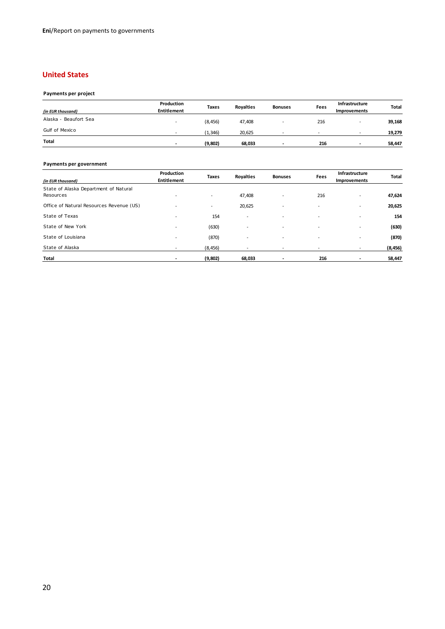### **United States**

### **Payments per project**

| (in EUR thousand)     | Production<br>Entitlement | <b>Taxes</b> | Royalties | <b>Bonuses</b> | Fees   | Infrastructure<br><b>Improvements</b> | <b>Total</b> |
|-----------------------|---------------------------|--------------|-----------|----------------|--------|---------------------------------------|--------------|
| Alaska - Beaufort Sea | $\overline{\phantom{a}}$  | (8, 456)     | 47,408    |                | 216    |                                       | 39,168       |
| Gulf of Mexico        | $\overline{\phantom{a}}$  | (1, 346)     | 20,625    |                | $\sim$ |                                       | 19,279       |
| Total                 | $\overline{\phantom{0}}$  | (9,802)      | 68,033    |                | 216    | $\overline{\phantom{0}}$              | 58,447       |

| (in EUR thousand)                                  | Production<br>Entitlement | <b>Taxes</b>             | <b>Royalties</b>             | <b>Bonuses</b>           | Fees                     | Infrastructure<br>Improvements | Total    |
|----------------------------------------------------|---------------------------|--------------------------|------------------------------|--------------------------|--------------------------|--------------------------------|----------|
| State of Alaska Department of Natural<br>Resources |                           | $\overline{\phantom{0}}$ | 47,408                       |                          | 216                      | ۰                              | 47,624   |
| Office of Natural Resources Revenue (US)           | $\overline{\phantom{a}}$  | $\overline{\phantom{a}}$ | 20,625                       | $\overline{\phantom{a}}$ | $\overline{a}$           | $\overline{\phantom{a}}$       | 20,625   |
| State of Texas                                     | $\overline{\phantom{a}}$  | 154                      | $\overline{\phantom{a}}$     | $\overline{\phantom{a}}$ | $\overline{\phantom{0}}$ | $\overline{\phantom{a}}$       | 154      |
| State of New York                                  | $\overline{\phantom{a}}$  | (630)                    | $\overline{a}$               |                          | $\overline{\phantom{a}}$ | ۰                              | (630)    |
| State of Louisiana                                 | $\overline{\phantom{a}}$  | (870)                    | $\overline{a}$               | $\overline{\phantom{a}}$ | $\overline{\phantom{a}}$ |                                | (870)    |
| State of Alaska                                    | ۰                         | (8, 456)                 | $\qquad \qquad \blacksquare$ |                          | $\overline{\phantom{a}}$ | $\overline{\phantom{a}}$       | (8, 456) |
| Total                                              |                           | (9,802)                  | 68,033                       |                          | 216                      |                                | 58,447   |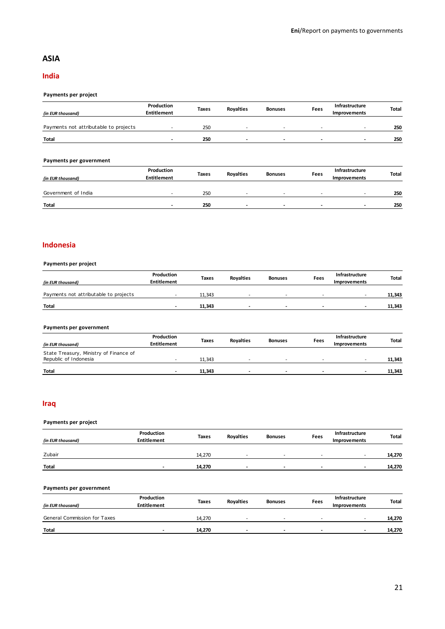## **ASIA**

### **India**

#### **Payments per project**

| (in EUR thousand)                     | Production<br><b>Entitlement</b> | <b>Taxes</b> | Royalties | <b>Bonuses</b>           | Fees                     | Infrastructure<br>Improvements | <b>Total</b> |
|---------------------------------------|----------------------------------|--------------|-----------|--------------------------|--------------------------|--------------------------------|--------------|
| Payments not attributable to projects |                                  | 250          |           |                          |                          |                                | 250          |
| <b>Total</b>                          |                                  | 250          | ٠         | $\overline{\phantom{a}}$ | $\overline{\phantom{a}}$ | $\overline{\phantom{0}}$       | 250          |
|                                       |                                  |              |           |                          |                          |                                |              |

### **Payments per government**

| (in EUR thousand)   | Production<br><b>Entitlement</b> | Taxes | <b>Royalties</b>         | <b>Bonuses</b>           | Fees | Infrastructure<br><b>Improvements</b> | <b>Total</b> |
|---------------------|----------------------------------|-------|--------------------------|--------------------------|------|---------------------------------------|--------------|
| Government of India |                                  | 250   |                          |                          |      |                                       | 250          |
| Total               |                                  | 250   | $\overline{\phantom{0}}$ | $\overline{\phantom{a}}$ | -    |                                       | 250          |

### **Indonesia**

#### **Payments per project**

| (in EUR thousand)                     | Production<br><b>Entitlement</b> | <b>Taxes</b> | <b>Rovalties</b> | <b>Bonuses</b> | Fees | Infrastructure<br><b>Improvements</b> | <b>Total</b> |
|---------------------------------------|----------------------------------|--------------|------------------|----------------|------|---------------------------------------|--------------|
| Payments not attributable to projects | $\,$                             | 11.343       |                  | $\,$           |      |                                       | 11.343       |
| <b>Total</b>                          |                                  | 11.343       |                  | $\,$           |      |                                       | 11.343       |

#### **Payments per government**

|                                        | Production         | <b>Taxes</b> | <b>Rovalties</b> | <b>Bonuses</b> |                          | Infrastructure      | <b>Total</b> |
|----------------------------------------|--------------------|--------------|------------------|----------------|--------------------------|---------------------|--------------|
| (in EUR thousand)                      | <b>Entitlement</b> |              |                  |                | Fees                     | <b>Improvements</b> |              |
| State Treasury, Ministry of Finance of |                    |              |                  |                |                          |                     |              |
| Republic of Indonesia                  |                    | 11.343       |                  |                |                          |                     | 11.343       |
| <b>Total</b>                           |                    | 11.343       |                  | -              | $\overline{\phantom{0}}$ |                     | 11,343       |

### **Iraq**

#### **Payments per project**

| (in EUR thousand) | Production<br><b>Entitlement</b> | Taxes  | <b>Royalties</b>         | <b>Bonuses</b>           | Fees                     | Infrastructure<br>Improvements | <b>Total</b> |
|-------------------|----------------------------------|--------|--------------------------|--------------------------|--------------------------|--------------------------------|--------------|
| Zubair            |                                  | 14.270 | $\overline{\phantom{a}}$ |                          |                          |                                | 14,270       |
| <b>Total</b>      |                                  | 14.270 | $\overline{\phantom{a}}$ | $\overline{\phantom{0}}$ | $\overline{\phantom{0}}$ |                                | 14,270       |

| (in EUR thousand)            | Production<br>Entitlement | <b>Taxes</b> | <b>Rovalties</b> | <b>Bonuses</b> | Fees | Infrastructure<br><b>Improvements</b> | <b>Total</b> |
|------------------------------|---------------------------|--------------|------------------|----------------|------|---------------------------------------|--------------|
| General Commission for Taxes |                           | 14.270       |                  |                |      |                                       | 14,270       |
| <b>Total</b>                 |                           | 14,270       | -                | -              |      |                                       | 14,270       |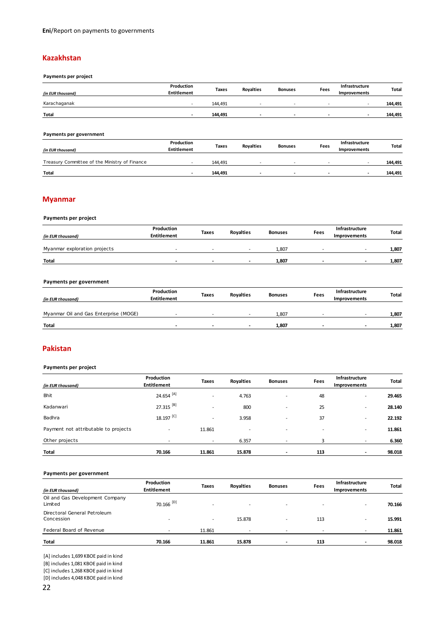### **Kazakhstan**

#### **Payments per project**

| (in EUR thousand) | Production<br><b>Entitlement</b> | <b>Taxes</b> | Royalties | <b>Bonuses</b> | Fees                     | Infrastructure<br><b>Improvements</b> | <b>Total</b> |
|-------------------|----------------------------------|--------------|-----------|----------------|--------------------------|---------------------------------------|--------------|
| Karachaganak      | -                                | 144.491      |           |                | $\overline{\phantom{a}}$ | -                                     | 144,491      |
| Total             |                                  | 144.491      |           |                |                          | $\overline{\phantom{0}}$              | 144,491      |

#### **Payments per government**

| (in EUR thousand)                             | Production<br><b>Entitlement</b> | Taxes   | Royalties | <b>Bonuses</b> | Fees                     | Infrastructure<br><b>Improvements</b> | Total   |
|-----------------------------------------------|----------------------------------|---------|-----------|----------------|--------------------------|---------------------------------------|---------|
| Treasury Committee of the Ministry of Finance |                                  | 144.491 |           |                | $\sim$                   | -                                     | 144,491 |
| Total                                         |                                  | 144.491 |           | <b>.</b>       | $\overline{\phantom{0}}$ | -                                     | 144.491 |

#### **Myanmar**

#### **Payments per project**

| (in EUR thousand)            | Production<br><b>Entitlement</b> | <b>Taxes</b>             | <b>Royalties</b> | <b>Bonuses</b> | Fees | Infrastructure<br><b>Improvements</b> | <b>Total</b> |
|------------------------------|----------------------------------|--------------------------|------------------|----------------|------|---------------------------------------|--------------|
| Myanmar exploration projects |                                  | $\overline{\phantom{0}}$ | -                | 1,807          |      |                                       | 1,807        |
| <b>Total</b>                 |                                  | $\overline{\phantom{a}}$ | -                | 1,807          |      |                                       | 1,807        |

### **Payments per government**

| (in EUR thousand)                     | Production<br><b>Entitlement</b> | Taxes | <b>Rovalties</b> | <b>Bonuses</b> | Fees | Infrastructure<br><b>Improvements</b> | <b>Total</b> |
|---------------------------------------|----------------------------------|-------|------------------|----------------|------|---------------------------------------|--------------|
| Myanmar Oil and Gas Enterprise (MOGE) | $\overline{\phantom{a}}$         |       |                  | 1,807          |      |                                       | 1,807        |
| <b>Total</b>                          |                                  | -     | -                | 1,807          |      |                                       | 1,807        |

### **Pakistan**

#### **Payments per project**

| (in EUR thousand)                    | Production<br><b>Entitlement</b> | <b>Taxes</b>             | <b>Royalties</b> | <b>Bonuses</b>           | Fees                     | Infrastructure<br>Improvements | Total  |
|--------------------------------------|----------------------------------|--------------------------|------------------|--------------------------|--------------------------|--------------------------------|--------|
| Bhit                                 | 24.654 [A]                       | $\overline{\phantom{a}}$ | 4.763            | $\overline{\phantom{a}}$ | 48                       | ۰.                             | 29.465 |
| Kadanwari                            | 27.315 <sup>[B]</sup>            |                          | 800              | $\overline{\phantom{a}}$ | 25                       | ۰.                             | 28.140 |
| Badhra                               | $18.197$ <sup>[C]</sup>          |                          | 3.958            | ۰                        | 37                       |                                | 22.192 |
| Payment not attributable to projects | ٠                                | 11.861                   | ۰                | $\overline{\phantom{a}}$ | $\overline{\phantom{a}}$ |                                | 11.861 |
| Other projects                       |                                  | $\overline{\phantom{a}}$ | 6.357            | -                        | 3                        |                                | 6.360  |
| Total                                | 70.166                           | 11.861                   | 15.878           |                          | 113                      |                                | 98.018 |

#### **Payments per government**

| (in EUR thousand)                          | Production<br>Entitlement | Taxes                    | <b>Royalties</b>         | <b>Bonuses</b>           | Fees                     | Infrastructure<br><b>Improvements</b> | <b>Total</b> |
|--------------------------------------------|---------------------------|--------------------------|--------------------------|--------------------------|--------------------------|---------------------------------------|--------------|
| Oil and Gas Development Company<br>Limited | 70.166 <sup>[D]</sup>     | $\overline{\phantom{a}}$ | -                        | $\overline{\phantom{a}}$ | $\overline{\phantom{a}}$ |                                       | 70.166       |
| Directoral General Petroleum<br>Concession | ۰                         | $\overline{\phantom{a}}$ | 15.878                   | $\overline{\phantom{a}}$ | 113                      |                                       | 15.991       |
| Federal Board of Revenue                   | $\sim$                    | 11.861                   | $\overline{\phantom{a}}$ | $\overline{\phantom{a}}$ | $\overline{\phantom{a}}$ |                                       | 11.861       |
| <b>Total</b>                               | 70.166                    | 11.861                   | 15.878                   |                          | 113                      |                                       | 98.018       |

[A] includes 1,699 KBOE paid in kind

[B] includes 1,081 KBOE paid in kind

[C] includes 1,268 KBOE paid in kind

[D] includes 4,048 KBOE paid in kind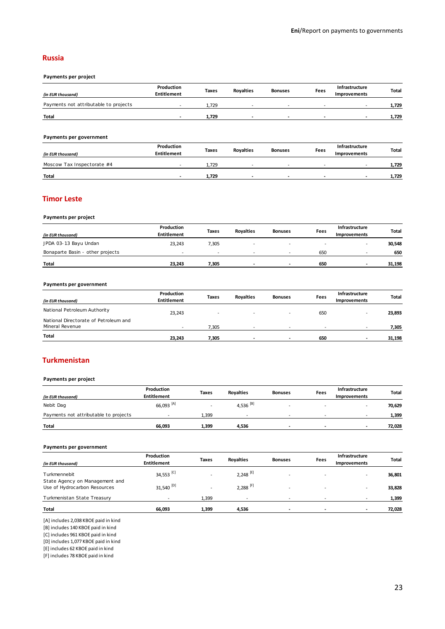### **Russia**

**Payments per project**

| (in EUR thousand)                     | Production<br><b>Entitlement</b> | <b>Taxes</b> | <b>Rovalties</b> | <b>Bonuses</b> | Fees | Infrastructure<br><b>Improvements</b> | <b>Total</b> |
|---------------------------------------|----------------------------------|--------------|------------------|----------------|------|---------------------------------------|--------------|
| Payments not attributable to projects |                                  | 1.729        |                  |                |      |                                       | 1.729        |
| <b>Total</b>                          |                                  | 1.729        |                  |                |      |                                       | 1.729        |

### **Payments per government**

| (in EUR thousand)          | Production<br><b>Entitlement</b> | <b>Taxes</b> | <b>Rovalties</b> | <b>Bonuses</b>           | Fees | Infrastructure<br><b>Improvements</b> | <b>Total</b> |
|----------------------------|----------------------------------|--------------|------------------|--------------------------|------|---------------------------------------|--------------|
| Moscow Tax Inspectorate #4 |                                  | 1.729        | -                | -                        |      |                                       | 1,729        |
| Total                      | $\overline{\phantom{0}}$         | 1.729        | -                | $\overline{\phantom{0}}$ | -    |                                       | 1,729        |

### **Timor Leste**

#### **Payments per project**

| (in EUR thousand)                | Production<br><b>Entitlement</b> | Taxes                    | <b>Rovalties</b> | <b>Bonuses</b>           | Fees | Infrastructure<br><b>Improvements</b> | Total  |
|----------------------------------|----------------------------------|--------------------------|------------------|--------------------------|------|---------------------------------------|--------|
| JPDA 03-13 Bayu Undan            | 23.243                           | 7,305                    |                  | $\sim$                   |      |                                       | 30,548 |
| Bonaparte Basin - other projects | $\overline{\phantom{0}}$         | $\overline{\phantom{a}}$ | -                | $\overline{\phantom{0}}$ | 650  | $\overline{\phantom{0}}$              | 650    |
| Total                            | 23.243                           | 7.305                    |                  | $\overline{\phantom{0}}$ | 650  |                                       | 31.198 |

#### **Payments per government**

|                                                          | Production               | Taxes                    | <b>Rovalties</b> | <b>Bonuses</b>           | Fees   | Infrastructure           | Total  |
|----------------------------------------------------------|--------------------------|--------------------------|------------------|--------------------------|--------|--------------------------|--------|
| (in EUR thousand)                                        | <b>Entitlement</b>       |                          |                  |                          |        | <b>Improvements</b>      |        |
| National Petroleum Authority                             | 23,243                   | $\overline{\phantom{0}}$ |                  | $\overline{\phantom{0}}$ | 650    |                          | 23,893 |
| National Directorate of Petroleum and<br>Mineral Revenue | $\overline{\phantom{0}}$ | 7.305                    |                  | $\sim$                   | $\sim$ | $\overline{\phantom{a}}$ | 7.305  |
| Total                                                    | 23.243                   | 7.305                    |                  | $\overline{\phantom{0}}$ | 650    |                          | 31,198 |

### **Turkmenistan**

#### **Payments per project**

| (in EUR thousand)                     | Production<br>Entitlement | Taxes | <b>Rovalties</b> | <b>Bonuses</b> | Fees                     | Infrastructure<br><b>Improvements</b> | <b>Total</b> |
|---------------------------------------|---------------------------|-------|------------------|----------------|--------------------------|---------------------------------------|--------------|
| Nebit Dag                             | 66,093 <sup>[A]</sup>     |       | 4,536 $^{[B]}$   |                | $\overline{\phantom{a}}$ |                                       | 70,629       |
| Payments not attributable to projects |                           | 1.399 |                  | . .            | . .                      |                                       | 1,399        |
| <b>Total</b>                          | 66,093                    | 1,399 | 4,536            |                | -                        |                                       | 72,028       |

#### **Payments per government**

| (in EUR thousand)                              | Production<br>Entitlement | Taxes | <b>Rovalties</b>         | <b>Bonuses</b>           | Fees                     | Infrastructure<br><b>Improvements</b> | <b>Total</b> |
|------------------------------------------------|---------------------------|-------|--------------------------|--------------------------|--------------------------|---------------------------------------|--------------|
| Turkmennebit<br>State Agency on Management and | 34,553 <sup>[C]</sup>     |       | $2,248$ <sup>[E]</sup>   | -                        | $\overline{\phantom{a}}$ | $\overline{\phantom{a}}$              | 36,801       |
| Use of Hydrocarbon Resources                   | 31,540 <sup>[D]</sup>     |       | $2,288$ <sup>[F]</sup>   |                          |                          |                                       | 33,828       |
| Turkmenistan State Treasury                    |                           | 1,399 | $\overline{\phantom{0}}$ | $\sim$                   |                          | $\overline{\phantom{0}}$              | 1,399        |
| <b>Total</b>                                   | 66,093                    | 1,399 | 4,536                    | $\overline{\phantom{0}}$ |                          |                                       | 72,028       |

[A] includes 2,038 KBOE paid in kind

[B] includes 140 KBOE paid in kind

[C] includes 961 KBOE paid in kind

[D] includes 1,077 KBOE paid in kind

[E] includes 62 KBOE paid in kind

[F] includes 78 KBOE paid in kind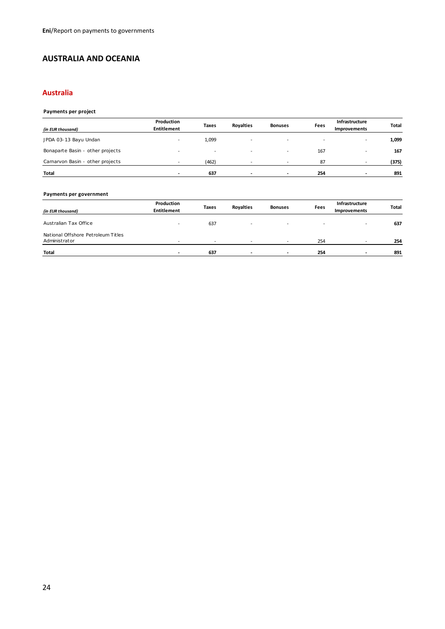# **AUSTRALIA AND OCEANIA**

### **Australia**

### **Payments per project**

| (in EUR thousand)                                   | Production<br><b>Entitlement</b> | Taxes          | Royalties                | <b>Bonuses</b>           | Fees                     | Infrastructure<br>Improvements | Total |
|-----------------------------------------------------|----------------------------------|----------------|--------------------------|--------------------------|--------------------------|--------------------------------|-------|
| JPDA 03-13 Bayu Undan                               | $\overline{a}$                   | 1,099          |                          |                          | $\overline{\phantom{a}}$ | ۰                              | 1,099 |
| Bonaparte Basin - other projects                    |                                  | $\overline{a}$ |                          | ۰                        | 167                      |                                | 167   |
| Carnarvon Basin - other projects                    | $\overline{\phantom{a}}$         | (462)          | $\overline{\phantom{a}}$ | $\overline{\phantom{a}}$ | 87                       | $\sim$                         | (375) |
| Total                                               | $\overline{\phantom{a}}$         | 637            | $\overline{\phantom{a}}$ | $\overline{\phantom{a}}$ | 254                      | ٠                              | 891   |
| Payments per government                             |                                  |                |                          |                          |                          |                                |       |
| (in EUR thousand)                                   | Production<br><b>Entitlement</b> | Taxes          | Royalties                | <b>Bonuses</b>           | Fees                     | Infrastructure<br>Improvements | Total |
| Australian Tax Office                               | $\overline{a}$                   | 637            |                          |                          |                          |                                | 637   |
| National Offshore Petroleum Titles<br>Administrator | $\overline{\phantom{a}}$         | $\sim$         | $\overline{\phantom{0}}$ | ۰                        | 254                      | ۰                              | 254   |
| <b>Total</b>                                        |                                  | 637            |                          |                          | 254                      |                                | 891   |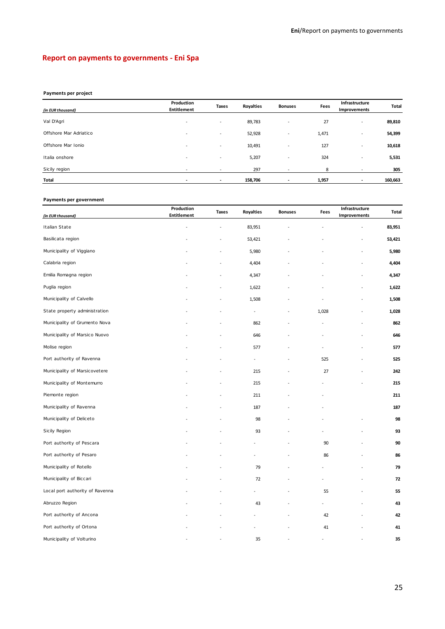## **Report on payments to governments ‐ Eni Spa**

#### **Payments per project**

| (in EUR thousand)      | Production<br>Entitlement | <b>Taxes</b> | Royalties | <b>Bonuses</b>           | Fees  | Infrastructure<br>Improvements | <b>Total</b> |
|------------------------|---------------------------|--------------|-----------|--------------------------|-------|--------------------------------|--------------|
| Val D'Agri             | $\overline{\phantom{a}}$  | ٠            | 89,783    | $\overline{\phantom{a}}$ | 27    | $\sim$                         | 89,810       |
| Offshore Mar Adriatico | $\overline{\phantom{a}}$  | ۰            | 52,928    | ٠                        | 1,471 | $\sim$                         | 54,399       |
| Offshore Mar Ionio     | $\overline{\phantom{a}}$  | ٠            | 10,491    | ۰                        | 127   | $\sim$                         | 10,618       |
| Italia onshore         | $\overline{\phantom{a}}$  | ۰            | 5,207     | $\overline{\phantom{a}}$ | 324   | $\sim$                         | 5,531        |
| Sicily region          | $\overline{\phantom{a}}$  | ۰            | 297       | $\overline{\phantom{a}}$ | 8     | $\sim$                         | 305          |
| <b>Total</b>           | ٠                         | $\sim$       | 158,706   | $\overline{\phantom{a}}$ | 1,957 | $\sim$                         | 160,663      |

| (in EUR thousand)               | Production<br><b>Entitlement</b> | <b>Taxes</b> | <b>Royalties</b>         | <b>Bonuses</b> | Fees  | Infrastructure<br>Improvements | <b>Total</b> |
|---------------------------------|----------------------------------|--------------|--------------------------|----------------|-------|--------------------------------|--------------|
| Italian State                   |                                  |              | 83,951                   |                |       |                                | 83,951       |
| Basilicata region               |                                  |              | 53,421                   |                |       |                                | 53,421       |
| Municipality of Viggiano        |                                  |              | 5,980                    |                |       |                                | 5,980        |
| Calabria region                 |                                  |              | 4,404                    |                |       |                                | 4,404        |
| Emilia Romagna region           |                                  |              | 4,347                    |                |       |                                | 4,347        |
| Puglia region                   |                                  |              | 1,622                    |                |       |                                | 1,622        |
| Municipality of Calvello        |                                  |              | 1,508                    |                |       |                                | 1,508        |
| State property administration   |                                  |              |                          |                | 1,028 |                                | 1,028        |
| Municipality of Grumento Nova   |                                  |              | 862                      |                |       |                                | 862          |
| Municipality of Marsico Nuovo   |                                  |              | 646                      |                |       |                                | 646          |
| Molise region                   |                                  |              | 577                      |                |       |                                | 577          |
| Port authority of Ravenna       |                                  |              | $\overline{\phantom{a}}$ |                | 525   |                                | 525          |
| Municipality of Marsicovetere   |                                  |              | 215                      |                | 27    |                                | 242          |
| Municipality of Montemurro      |                                  |              | 215                      |                |       |                                | 215          |
| Piemonte region                 |                                  |              | 211                      |                |       |                                | 211          |
| Municipality of Ravenna         |                                  |              | 187                      |                |       |                                | 187          |
| Municipality of Deliceto        |                                  |              | 98                       |                |       |                                | 98           |
| Sicily Region                   |                                  |              | 93                       |                |       |                                | 93           |
| Port authority of Pescara       |                                  |              |                          |                | 90    |                                | 90           |
| Port authority of Pesaro        |                                  |              |                          |                | 86    |                                | 86           |
| Municipality of Rotello         |                                  |              | 79                       |                |       |                                | 79           |
| Municipality of Biccari         |                                  |              | 72                       |                |       |                                | 72           |
| Local port authority of Ravenna |                                  |              |                          |                | 55    |                                | 55           |
| Abruzzo Region                  |                                  |              | 43                       |                |       |                                | 43           |
| Port authority of Ancona        |                                  |              |                          |                | 42    |                                | 42           |
| Port authority of Ortona        |                                  |              |                          |                | 41    |                                | 41           |
| Municipality of Volturino       |                                  |              | 35                       |                |       |                                | 35           |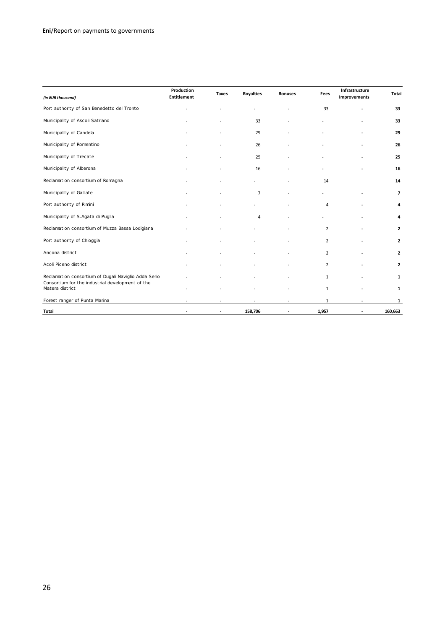| (in EUR thousand)                                                   | Production<br><b>Entitlement</b> | <b>Taxes</b>             | <b>Royalties</b> | <b>Bonuses</b> | Fees           | Infrastructure<br>Improvements | <b>Total</b>   |
|---------------------------------------------------------------------|----------------------------------|--------------------------|------------------|----------------|----------------|--------------------------------|----------------|
| Port authority of San Benedetto del Tronto                          |                                  |                          |                  |                | 33             |                                | 33             |
| Municipality of Ascoli Satriano                                     |                                  |                          | 33               |                |                |                                | 33             |
| Municipality of Candela                                             |                                  |                          | 29               |                |                |                                | 29             |
| Municipality of Romentino                                           |                                  |                          | 26               |                |                |                                | 26             |
| Municipality of Trecate                                             |                                  |                          | 25               |                |                |                                | 25             |
| Municipality of Alberona                                            |                                  |                          | 16               |                |                |                                | 16             |
| Reclamation consortium of Romagna                                   |                                  |                          |                  |                | 14             |                                | 14             |
| Municipality of Galliate                                            |                                  |                          | $\overline{7}$   |                |                |                                | $\overline{7}$ |
| Port authority of Rimini                                            |                                  |                          |                  |                | 4              |                                | 4              |
| Municipality of S.Agata di Puglia                                   |                                  |                          | 4                |                |                |                                | 4              |
| Reclamation consortium of Muzza Bassa Lodigiana                     |                                  |                          |                  |                | $\overline{2}$ |                                | $\mathbf{z}$   |
| Port authority of Chioggia                                          |                                  |                          |                  |                | $\overline{2}$ |                                | $\mathbf{z}$   |
| Ancona district                                                     |                                  |                          |                  |                | $\overline{2}$ |                                | 2              |
| Acoli Piceno district                                               |                                  |                          |                  |                | $\overline{2}$ |                                | $\overline{2}$ |
| Reclamation consortium of Dugali Naviglio Adda Serio                |                                  |                          |                  |                | $\mathbf{1}$   | ÷                              | 1              |
| Consortium for the industrial development of the<br>Matera district |                                  |                          |                  |                | $\mathbf{1}$   | ٠                              | 1              |
| Forest ranger of Punta Marina                                       | $\sim$                           | $\blacksquare$           | $\sim$           | $\blacksquare$ | $\mathbf{1}$   | $\sim$                         | 1              |
| <b>Total</b>                                                        | $\overline{\phantom{a}}$         | $\overline{\phantom{a}}$ | 158,706          |                | 1,957          |                                | 160.663        |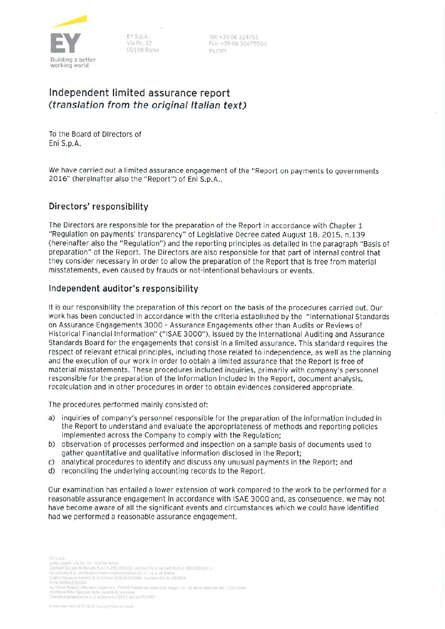

EY S.p.A. Via Po. 32 00198 Roma

Tel: +39 06 324751 Fax: +39 06 32475504 ev.com

# Independent limited assurance report (translation from the original Italian text)

To the Board of Directors of Eni S.p.A.

We have carried out a limited assurance engagement of the "Report on payments to governments 2016" (hereinafter also the "Report") of Eni S.p.A..

## Directors' responsibility

The Directors are responsible for the preparation of the Report in accordance with Chapter 1 "Regulation on payments' transparency" of Legislative Decree dated August 18, 2015, n.139 (hereinafter also the "Regulation") and the reporting principles as detailed in the paragraph "Basis of preparation" of the Report. The Directors are also responsible for that part of internal control that they consider necessary in order to allow the preparation of the Report that is free from material misstatements, even caused by frauds or not-intentional behaviours or events.

### Independent auditor's responsibility

It is our responsibility the preparation of this report on the basis of the procedures carried out. Our work has been conducted in accordance with the criteria established by the "International Standards" on Assurance Engagements 3000 - Assurance Engagements other than Audits or Reviews of Historical Financial Information" ("ISAE 3000"), issued by the International Auditing and Assurance Standards Board for the engagements that consist in a limited assurance. This standard requires the respect of relevant ethical principles, including those related to independence, as well as the planning and the execution of our work in order to obtain a limited assurance that the Report is free of material misstatements. These procedures included inquiries, primarily with company's personnel responsible for the preparation of the information included in the Report, document analysis, recalculation and in other procedures in order to obtain evidences considered appropriate.

The procedures performed mainly consisted of:

- a) inquiries of company's personnel responsible for the preparation of the information included in the Report to understand and evaluate the appropriateness of methods and reporting policies implemented across the Company to comply with the Regulation;
- b) observation of processes performed and inspection on a sample basis of documents used to gather quantitative and qualitative information disclosed in the Report;
- analytical procedures to identify and discuss any unusual payments in the Report; and  $\mathsf{C}$ )
- d) reconciling the underlying accounting records to the Report.

Our examination has entailed a lower extension of work compared to the work to be performed for a reasonable assurance engagement in accordance with ISAE 3000 and, as consequence, we may not have become aware of all the significant events and circumstances which we could have identified had we performed a reasonable assurance engagement.

EY S.p.A .<br>Sede Legale: Via Po. 32 - 00198 Roma

Secretarian de l'alta de l'alta de 2000/00,00, sottoscritto e versato Euro 2.950.000.00 (M).<br>Iscritta alla S.O. del Registro delle Imprese presso la C.C.I.A.A. di Roma<br>Codice físcale e numero di iscrizione 00434000584 - nu

PIVA 00891231003

- Leussou.<br>Registro Revisori Legali al n. 70945 Pubblicato sulla G.U. Suppl. 13 - IV Serie Speciale del 17/2/1998.<br>'Albo Speciale delle società di revisione

Consob al progressivo n. 2 delibera n.10831 del 16/7/1997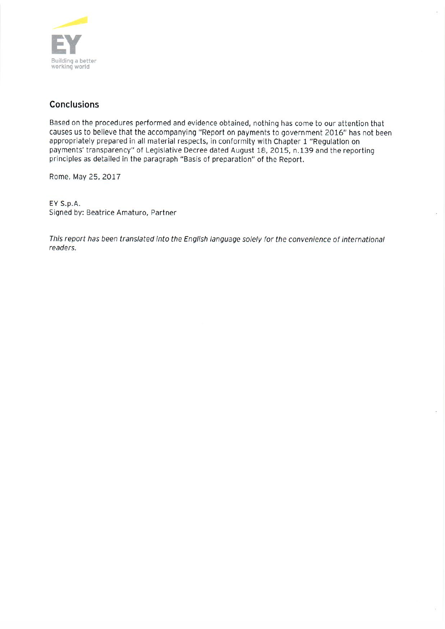

## **Conclusions**

Based on the procedures performed and evidence obtained, nothing has come to our attention that causes us to believe that the accompanying "Report on payments to government 2016" has not been appropriately prepared in all material respects, in conformity with Chapter 1 "Regulation on payments' transparency" of Legislative Decree dated August 18, 2015, n.139 and the reporting principles as detailed in the paragraph "Basis of preparation" of the Report.

Rome, May 25, 2017

EY S.D.A. Signed by: Beatrice Amaturo, Partner

This report has been translated into the English language solely for the convenience of international readers.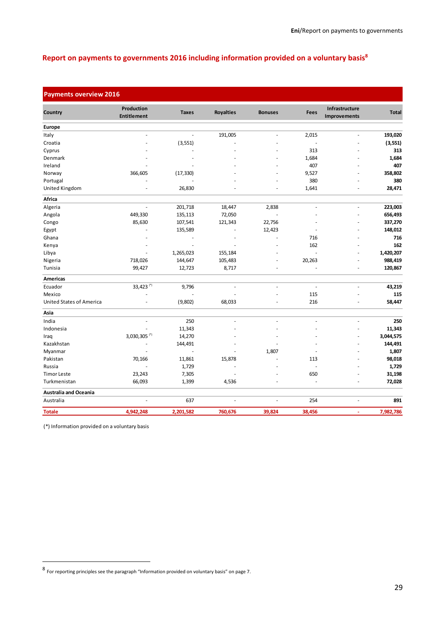## **Report on payments to governments 2016 including information provided on a voluntary basis8**

| <b>Payments overview 2016</b> |                                  |                          |                  |                |             |                                |              |  |  |  |  |
|-------------------------------|----------------------------------|--------------------------|------------------|----------------|-------------|--------------------------------|--------------|--|--|--|--|
| Country                       | Production<br><b>Entitlement</b> | <b>Taxes</b>             | <b>Royalties</b> | <b>Bonuses</b> | <b>Fees</b> | Infrastructure<br>Improvements | <b>Total</b> |  |  |  |  |
| <b>Europe</b>                 |                                  |                          |                  |                |             |                                |              |  |  |  |  |
| Italy                         | ÷.                               | L,                       | 191,005          | í,             | 2,015       | ä,                             | 193,020      |  |  |  |  |
| Croatia                       |                                  | (3, 551)                 |                  | ä,             | L.          |                                | (3, 551)     |  |  |  |  |
| Cyprus                        |                                  |                          |                  |                | 313         |                                | 313          |  |  |  |  |
| Denmark                       |                                  | ä,                       |                  |                | 1,684       | $\overline{a}$                 | 1,684        |  |  |  |  |
| Ireland                       |                                  |                          |                  |                | 407         |                                | 407          |  |  |  |  |
| Norway                        | 366,605                          | (17, 330)                |                  | ä              | 9,527       |                                | 358,802      |  |  |  |  |
| Portugal                      |                                  |                          |                  | ä,             | 380         |                                | 380          |  |  |  |  |
| United Kingdom                |                                  | 26,830                   |                  | ä,             | 1,641       | $\overline{a}$                 | 28,471       |  |  |  |  |
| Africa                        |                                  |                          |                  |                |             |                                |              |  |  |  |  |
| Algeria                       | ÷,                               | 201,718                  | 18,447           | 2,838          | ä,          | ä,                             | 223,003      |  |  |  |  |
| Angola                        | 449,330                          | 135,113                  | 72,050           |                |             |                                | 656,493      |  |  |  |  |
| Congo                         | 85,630                           | 107,541                  | 121,343          | 22,756         |             |                                | 337,270      |  |  |  |  |
| Egypt                         |                                  | 135,589                  | L.               | 12,423         |             |                                | 148,012      |  |  |  |  |
| Ghana                         |                                  | $\overline{\phantom{a}}$ | ä,               | ł,             | 716         | ÷,                             | 716          |  |  |  |  |
| Kenya                         |                                  | ÷,                       |                  |                | 162         |                                | 162          |  |  |  |  |
| Libya                         | ÷,                               | 1,265,023                | 155,184          |                | ä,          | ä,                             | 1,420,207    |  |  |  |  |
| Nigeria                       | 718,026                          | 144,647                  | 105,483          | ä,             | 20,263      | $\overline{a}$                 | 988,419      |  |  |  |  |
| Tunisia                       | 99,427                           | 12,723                   | 8,717            | ä,             |             | ä,                             | 120,867      |  |  |  |  |
| Americas                      |                                  |                          |                  |                |             |                                |              |  |  |  |  |
| Ecuador                       | $33,423$ <sup>(*)</sup>          | 9,796                    | ä,               | ÷,             | ä,          | $\overline{a}$                 | 43,219       |  |  |  |  |
| Mexico                        |                                  |                          |                  |                | 115         |                                | 115          |  |  |  |  |
| United States of America      | ÷.                               | (9,802)                  | 68,033           |                | 216         | ä,                             | 58,447       |  |  |  |  |
| Asia                          |                                  |                          |                  |                |             |                                |              |  |  |  |  |
| India                         | ÷,                               | 250                      | ä,               | ä,             | ÷,          | ÷,                             | 250          |  |  |  |  |
| Indonesia                     |                                  | 11,343                   |                  |                |             |                                | 11,343       |  |  |  |  |
| Iraq                          | 3,030,305 <sup>(*)</sup>         | 14,270                   |                  |                |             | ä,                             | 3,044,575    |  |  |  |  |
| Kazakhstan                    | ÷,                               | 144,491                  |                  |                |             | ÷,                             | 144,491      |  |  |  |  |
| Myanmar                       | ÷.                               | $\bar{a}$                |                  | 1,807          |             | ÷                              | 1,807        |  |  |  |  |
| Pakistan                      | 70,166                           | 11,861                   | 15,878           |                | 113         | $\overline{a}$                 | 98,018       |  |  |  |  |
| Russia                        |                                  | 1,729                    | ÷,               | ×.             | ä,          |                                | 1,729        |  |  |  |  |
| <b>Timor Leste</b>            | 23,243                           | 7,305                    | ä,               |                | 650         |                                | 31,198       |  |  |  |  |
| Turkmenistan                  | 66,093                           | 1,399                    | 4,536            |                | ä,          |                                | 72,028       |  |  |  |  |
| <b>Australia and Oceania</b>  |                                  |                          |                  |                |             |                                |              |  |  |  |  |
| Australia                     | ÷,                               | 637                      | $\bar{a}$        | í,             | 254         | ÷,                             | 891          |  |  |  |  |
| <b>Totale</b>                 | 4,942,248                        | 2,201,582                | 760,676          | 39,824         | 38,456      | $\blacksquare$                 | 7,982,786    |  |  |  |  |

(\*) Information provided on a voluntary basis

<sup>8</sup> For reporting principles see the paragraph "Information provided on voluntary basis" on page 7.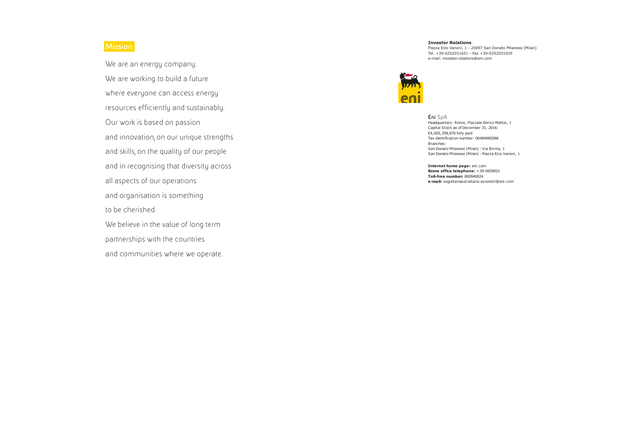#### **Investor Relations**

Piazza Ezio Vanoni, 1 - 20097 San Donato Milanese (Milan) Tel. +39-0252051651 - Fax +39-0252031929 e-mail: investor.relations@eni.com



**Eni** SpA Headquarters: Rome, Piazzale Enrico Mattei, 1 Capital Stock as of December 31, 2016: €4,005,358,876 fully paid Tax identification number: 00484960588 Branches: San Donato Milanese (Milan) - Via Emilia, 1 San Donato Milanese (Milan) - Piazza Ezio Vanoni, 1

**Internet home page:** eni.com **Rome office telephone:** +39-0659821 **Toll-free number:** 800940924 **e-mail:** segreteriasocietaria.azionisti@eni.com